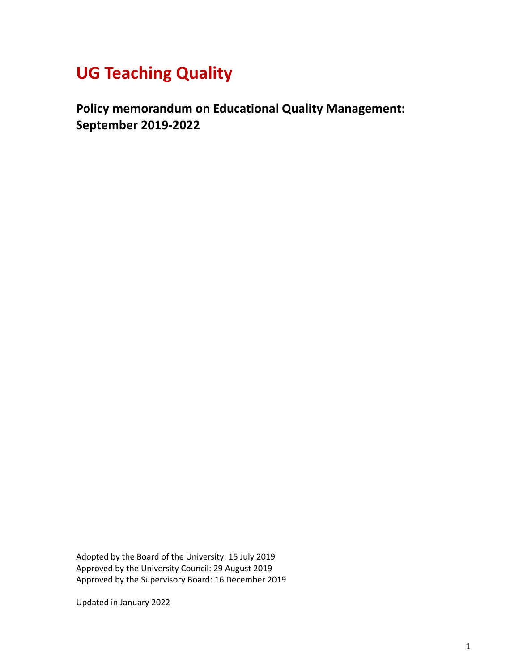# **UG Teaching Quality**

**Policy memorandum on Educational Quality Management: September 2019-2022**

Adopted by the Board of the University: 15 July 2019 Approved by the University Council: 29 August 2019 Approved by the Supervisory Board: 16 December 2019

Updated in January 2022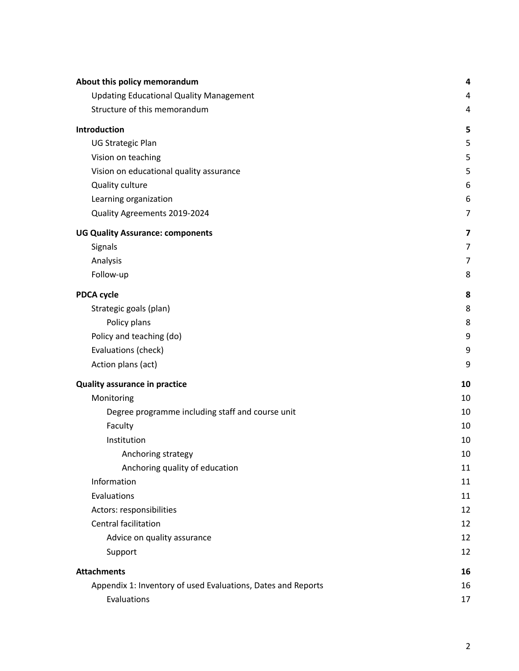| About this policy memorandum                                 | 4              |
|--------------------------------------------------------------|----------------|
| <b>Updating Educational Quality Management</b>               | 4              |
| Structure of this memorandum                                 | 4              |
| Introduction                                                 | 5              |
| <b>UG Strategic Plan</b>                                     | 5              |
| Vision on teaching                                           | 5              |
| Vision on educational quality assurance                      | 5              |
| Quality culture                                              | 6              |
| Learning organization                                        | 6              |
| Quality Agreements 2019-2024                                 | $\overline{7}$ |
| <b>UG Quality Assurance: components</b>                      | 7              |
| Signals                                                      | $\overline{7}$ |
| Analysis                                                     | 7              |
| Follow-up                                                    | 8              |
| <b>PDCA cycle</b>                                            | 8              |
| Strategic goals (plan)                                       | 8              |
| Policy plans                                                 | 8              |
| Policy and teaching (do)                                     | 9              |
| Evaluations (check)                                          | 9              |
| Action plans (act)                                           | 9              |
| <b>Quality assurance in practice</b>                         | 10             |
| Monitoring                                                   | 10             |
| Degree programme including staff and course unit             | 10             |
| Faculty                                                      | 10             |
| Institution                                                  | 10             |
| Anchoring strategy                                           | 10             |
| Anchoring quality of education                               | 11             |
| Information                                                  | 11             |
| Evaluations                                                  | 11             |
| Actors: responsibilities                                     | 12             |
| <b>Central facilitation</b>                                  | 12             |
| Advice on quality assurance                                  | 12             |
| Support                                                      | 12             |
| <b>Attachments</b>                                           | 16             |
| Appendix 1: Inventory of used Evaluations, Dates and Reports | 16             |
| Evaluations                                                  | 17             |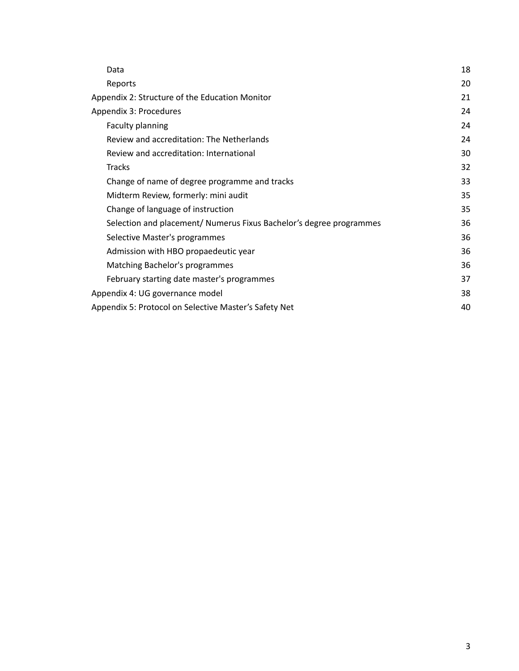| Data                                                                | 18 |
|---------------------------------------------------------------------|----|
| Reports                                                             | 20 |
| Appendix 2: Structure of the Education Monitor                      | 21 |
| Appendix 3: Procedures                                              | 24 |
| Faculty planning                                                    | 24 |
| Review and accreditation: The Netherlands                           | 24 |
| Review and accreditation: International                             | 30 |
| <b>Tracks</b>                                                       | 32 |
| Change of name of degree programme and tracks                       | 33 |
| Midterm Review, formerly: mini audit                                | 35 |
| Change of language of instruction                                   | 35 |
| Selection and placement/ Numerus Fixus Bachelor's degree programmes | 36 |
| Selective Master's programmes                                       | 36 |
| Admission with HBO propaedeutic year                                | 36 |
| Matching Bachelor's programmes                                      | 36 |
| February starting date master's programmes                          | 37 |
| Appendix 4: UG governance model                                     | 38 |
| Appendix 5: Protocol on Selective Master's Safety Net               | 40 |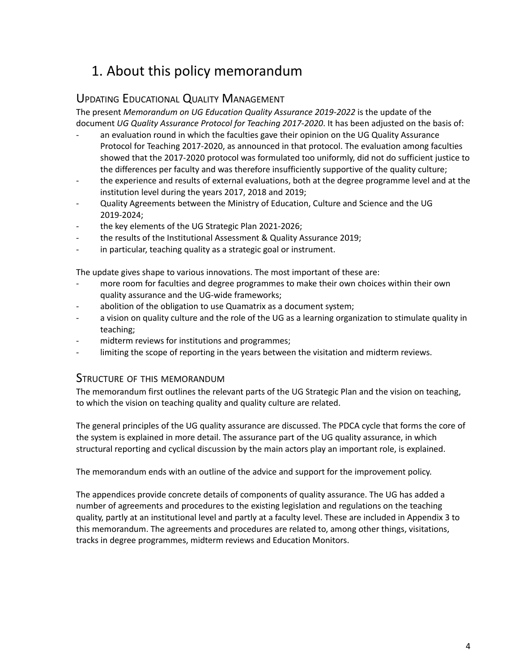# <span id="page-3-0"></span>1. About this policy memorandum

# <span id="page-3-1"></span>UPDATING EDUCATIONAL QUALITY MANAGEMENT

The present *Memorandum on UG Education Quality Assurance 2019-2022* is the update of the document *UG Quality Assurance Protocol for Teaching 2017-2020*. It has been adjusted on the basis of:

- an evaluation round in which the faculties gave their opinion on the UG Quality Assurance Protocol for Teaching 2017-2020, as announced in that protocol. The evaluation among faculties showed that the 2017-2020 protocol was formulated too uniformly, did not do sufficient justice to the differences per faculty and was therefore insufficiently supportive of the quality culture;
- the experience and results of external evaluations, both at the degree programme level and at the institution level during the years 2017, 2018 and 2019;
- Quality Agreements between the Ministry of Education, Culture and Science and the UG 2019-2024;
- the key elements of the UG Strategic Plan 2021-2026;
- the results of the Institutional Assessment & Quality Assurance 2019;
- in particular, teaching quality as a strategic goal or instrument.

The update gives shape to various innovations. The most important of these are:

- more room for faculties and degree programmes to make their own choices within their own quality assurance and the UG-wide frameworks;
- abolition of the obligation to use Quamatrix as a document system;
- a vision on quality culture and the role of the UG as a learning organization to stimulate quality in teaching;
- midterm reviews for institutions and programmes;
- limiting the scope of reporting in the years between the visitation and midterm reviews.

# <span id="page-3-2"></span>STRUCTURE OF THIS MEMORANDUM

The memorandum first outlines the relevant parts of the UG Strategic Plan and the vision on teaching, to which the vision on teaching quality and quality culture are related.

The general principles of the UG quality assurance are discussed. The PDCA cycle that forms the core of the system is explained in more detail. The assurance part of the UG quality assurance, in which structural reporting and cyclical discussion by the main actors play an important role, is explained.

The memorandum ends with an outline of the advice and support for the improvement policy.

The appendices provide concrete details of components of quality assurance. The UG has added a number of agreements and procedures to the existing legislation and regulations on the teaching quality, partly at an institutional level and partly at a faculty level. These are included in Appendix 3 to this memorandum. The agreements and procedures are related to, among other things, visitations, tracks in degree programmes, midterm reviews and Education Monitors.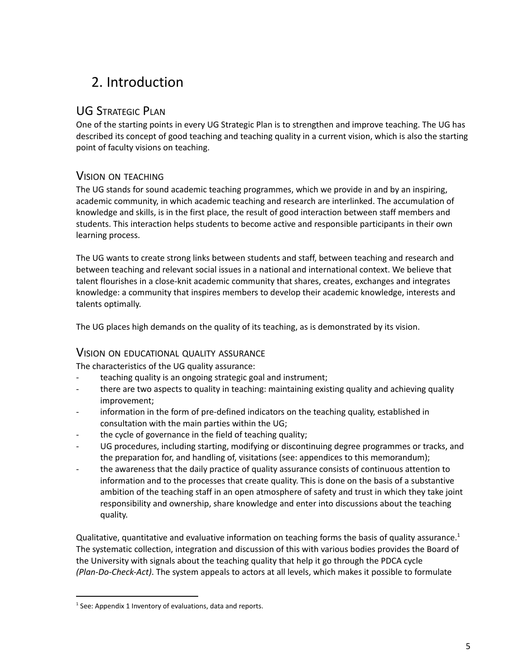# <span id="page-4-0"></span>2. Introduction

# <span id="page-4-1"></span>UG STRATEGIC PLAN

One of the starting points in every UG Strategic Plan is to strengthen and improve teaching. The UG has described its concept of good teaching and teaching quality in a current vision, which is also the starting point of faculty visions on teaching.

# <span id="page-4-2"></span>VISION ON TEACHING

The UG stands for sound academic teaching programmes, which we provide in and by an inspiring, academic community, in which academic teaching and research are interlinked. The accumulation of knowledge and skills, is in the first place, the result of good interaction between staff members and students. This interaction helps students to become active and responsible participants in their own learning process.

The UG wants to create strong links between students and staff, between teaching and research and between teaching and relevant social issues in a national and international context. We believe that talent flourishes in a close-knit academic community that shares, creates, exchanges and integrates knowledge: a community that inspires members to develop their academic knowledge, interests and talents optimally.

The UG places high demands on the quality of its teaching, as is demonstrated by its vision.

## <span id="page-4-3"></span>VISION ON EDUCATIONAL QUALITY ASSURANCE

The characteristics of the UG quality assurance:

- teaching quality is an ongoing strategic goal and instrument;
- there are two aspects to quality in teaching: maintaining existing quality and achieving quality improvement;
- information in the form of pre-defined indicators on the teaching quality, established in consultation with the main parties within the UG;
- the cycle of governance in the field of teaching quality;
- UG procedures, including starting, modifying or discontinuing degree programmes or tracks, and the preparation for, and handling of, visitations (see: appendices to this memorandum);
- the awareness that the daily practice of quality assurance consists of continuous attention to information and to the processes that create quality. This is done on the basis of a substantive ambition of the teaching staff in an open atmosphere of safety and trust in which they take joint responsibility and ownership, share knowledge and enter into discussions about the teaching quality.

Qualitative, quantitative and evaluative information on teaching forms the basis of quality assurance.<sup>1</sup> The systematic collection, integration and discussion of this with various bodies provides the Board of the University with signals about the teaching quality that help it go through the PDCA cycle *(Plan-Do-Check-Act)*. The system appeals to actors at all levels, which makes it possible to formulate

<sup>&</sup>lt;sup>1</sup> See: Appendix 1 Inventory of evaluations, data and reports.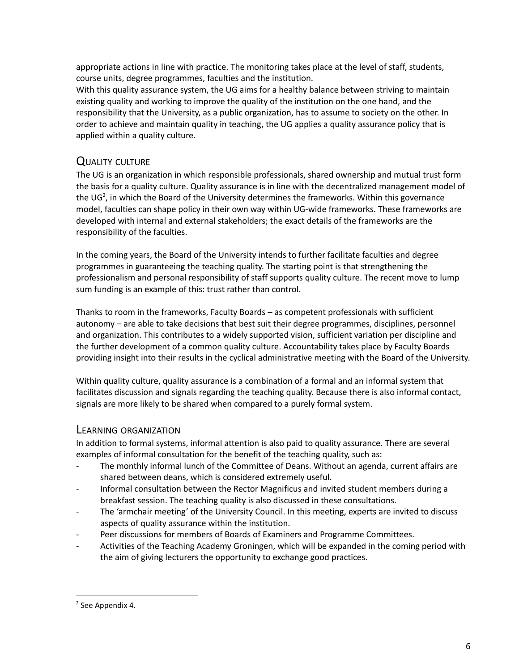appropriate actions in line with practice. The monitoring takes place at the level of staff, students, course units, degree programmes, faculties and the institution.

With this quality assurance system, the UG aims for a healthy balance between striving to maintain existing quality and working to improve the quality of the institution on the one hand, and the responsibility that the University, as a public organization, has to assume to society on the other. In order to achieve and maintain quality in teaching, the UG applies a quality assurance policy that is applied within a quality culture.

# <span id="page-5-0"></span>QUALITY CULTURE

The UG is an organization in which responsible professionals, shared ownership and mutual trust form the basis for a quality culture. Quality assurance is in line with the decentralized management model of the UG<sup>2</sup>, in which the Board of the University determines the frameworks. Within this governance model, faculties can shape policy in their own way within UG-wide frameworks. These frameworks are developed with internal and external stakeholders; the exact details of the frameworks are the responsibility of the faculties.

In the coming years, the Board of the University intends to further facilitate faculties and degree programmes in guaranteeing the teaching quality. The starting point is that strengthening the professionalism and personal responsibility of staff supports quality culture. The recent move to lump sum funding is an example of this: trust rather than control.

Thanks to room in the frameworks, Faculty Boards – as competent professionals with sufficient autonomy – are able to take decisions that best suit their degree programmes, disciplines, personnel and organization. This contributes to a widely supported vision, sufficient variation per discipline and the further development of a common quality culture. Accountability takes place by Faculty Boards providing insight into their results in the cyclical administrative meeting with the Board of the University.

Within quality culture, quality assurance is a combination of a formal and an informal system that facilitates discussion and signals regarding the teaching quality. Because there is also informal contact, signals are more likely to be shared when compared to a purely formal system.

## <span id="page-5-1"></span>LEARNING ORGANIZATION

In addition to formal systems, informal attention is also paid to quality assurance. There are several examples of informal consultation for the benefit of the teaching quality, such as:

- The monthly informal lunch of the Committee of Deans. Without an agenda, current affairs are shared between deans, which is considered extremely useful.
- Informal consultation between the Rector Magnificus and invited student members during a breakfast session. The teaching quality is also discussed in these consultations.
- The 'armchair meeting' of the University Council. In this meeting, experts are invited to discuss aspects of quality assurance within the institution.
- Peer discussions for members of Boards of Examiners and Programme Committees.
- Activities of the Teaching Academy Groningen, which will be expanded in the coming period with the aim of giving lecturers the opportunity to exchange good practices.

 $2$  See Appendix 4.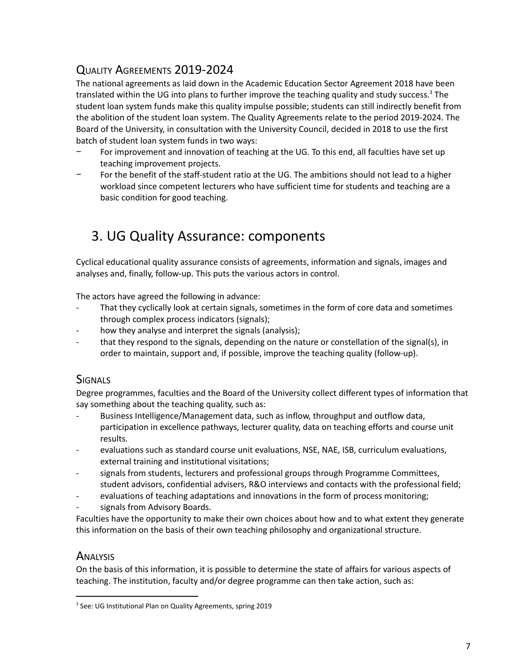# <span id="page-6-0"></span>QUALITY AGREEMENTS 2019-2024

The national agreements as laid down in the Academic Education Sector Agreement 2018 have been translated within the UG into plans to further improve the teaching quality and study success.<sup>3</sup> The student loan system funds make this quality impulse possible; students can still indirectly benefit from the abolition of the student loan system. The Quality Agreements relate to the period 2019-2024. The Board of the University, in consultation with the University Council, decided in 2018 to use the first batch of student loan system funds in two ways:

- For improvement and innovation of teaching at the UG. To this end, all faculties have set up teaching improvement projects.
- For the benefit of the staff-student ratio at the UG. The ambitions should not lead to a higher workload since competent lecturers who have sufficient time for students and teaching are a basic condition for good teaching.

# <span id="page-6-1"></span>3. UG Quality Assurance: components

Cyclical educational quality assurance consists of agreements, information and signals, images and analyses and, finally, follow-up. This puts the various actors in control.

The actors have agreed the following in advance:

- That they cyclically look at certain signals, sometimes in the form of core data and sometimes through complex process indicators (signals);
- how they analyse and interpret the signals (analysis);
- that they respond to the signals, depending on the nature or constellation of the signal(s), in order to maintain, support and, if possible, improve the teaching quality (follow-up).

# <span id="page-6-2"></span>**SIGNALS**

Degree programmes, faculties and the Board of the University collect different types of information that say something about the teaching quality, such as:

- Business Intelligence/Management data, such as inflow, throughput and outflow data, participation in excellence pathways, lecturer quality, data on teaching efforts and course unit results.
- evaluations such as standard course unit evaluations, NSE, NAE, ISB, curriculum evaluations, external training and institutional visitations;
- signals from students, lecturers and professional groups through Programme Committees, student advisors, confidential advisers, R&O interviews and contacts with the professional field;
- evaluations of teaching adaptations and innovations in the form of process monitoring;
- signals from Advisory Boards.

Faculties have the opportunity to make their own choices about how and to what extent they generate this information on the basis of their own teaching philosophy and organizational structure.

# <span id="page-6-3"></span>**ANALYSIS**

On the basis of this information, it is possible to determine the state of affairs for various aspects of teaching. The institution, faculty and/or degree programme can then take action, such as:

<sup>&</sup>lt;sup>3</sup> See: UG Institutional Plan on Quality Agreements, spring 2019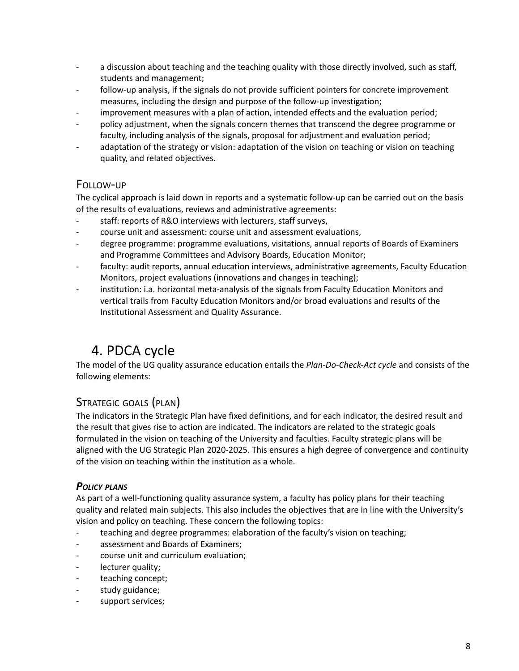- a discussion about teaching and the teaching quality with those directly involved, such as staff, students and management;
- follow-up analysis, if the signals do not provide sufficient pointers for concrete improvement measures, including the design and purpose of the follow-up investigation;
- improvement measures with a plan of action, intended effects and the evaluation period;
- policy adjustment, when the signals concern themes that transcend the degree programme or faculty, including analysis of the signals, proposal for adjustment and evaluation period;
- adaptation of the strategy or vision: adaptation of the vision on teaching or vision on teaching quality, and related objectives.

# <span id="page-7-0"></span>FOLLOW-UP

The cyclical approach is laid down in reports and a systematic follow-up can be carried out on the basis of the results of evaluations, reviews and administrative agreements:

- staff: reports of R&O interviews with lecturers, staff surveys,
- course unit and assessment: course unit and assessment evaluations,
- degree programme: programme evaluations, visitations, annual reports of Boards of Examiners and Programme Committees and Advisory Boards, Education Monitor;
- faculty: audit reports, annual education interviews, administrative agreements, Faculty Education Monitors, project evaluations (innovations and changes in teaching);
- institution: i.a. horizontal meta-analysis of the signals from Faculty Education Monitors and vertical trails from Faculty Education Monitors and/or broad evaluations and results of the Institutional Assessment and Quality Assurance.

# <span id="page-7-1"></span>4. PDCA cycle

The model of the UG quality assurance education entails the *Plan-Do-Check-Act cycle* and consists of the following elements:

# <span id="page-7-2"></span>STRATEGIC GOALS (PLAN)

The indicators in the Strategic Plan have fixed definitions, and for each indicator, the desired result and the result that gives rise to action are indicated. The indicators are related to the strategic goals formulated in the vision on teaching of the University and faculties. Faculty strategic plans will be aligned with the UG Strategic Plan 2020-2025. This ensures a high degree of convergence and continuity of the vision on teaching within the institution as a whole.

# <span id="page-7-3"></span>*POLICY PLANS*

As part of a well-functioning quality assurance system, a faculty has policy plans for their teaching quality and related main subjects. This also includes the objectives that are in line with the University's vision and policy on teaching. These concern the following topics:

- teaching and degree programmes: elaboration of the faculty's vision on teaching;
- assessment and Boards of Examiners;
- course unit and curriculum evaluation;
- lecturer quality;
- teaching concept;
- study guidance;
- support services;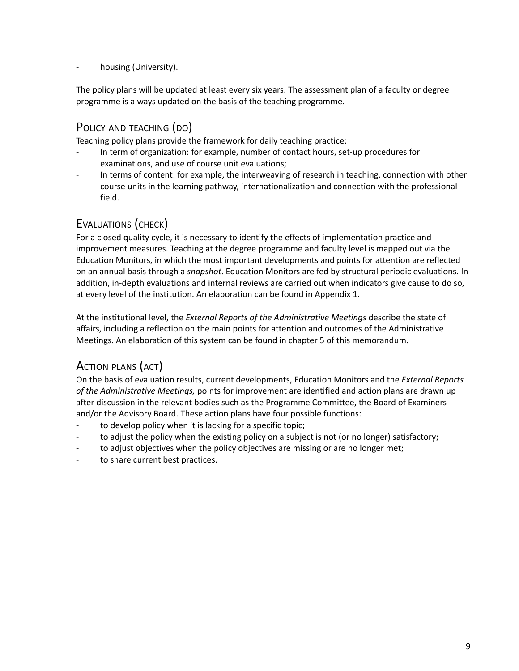housing (University).

The policy plans will be updated at least every six years. The assessment plan of a faculty or degree programme is always updated on the basis of the teaching programme.

# <span id="page-8-0"></span>POLICY AND TEACHING (DO)

Teaching policy plans provide the framework for daily teaching practice:

- In term of organization: for example, number of contact hours, set-up procedures for examinations, and use of course unit evaluations;
- In terms of content: for example, the interweaving of research in teaching, connection with other course units in the learning pathway, internationalization and connection with the professional field.

# <span id="page-8-1"></span>EVALUATIONS (CHECK)

For a closed quality cycle, it is necessary to identify the effects of implementation practice and improvement measures. Teaching at the degree programme and faculty level is mapped out via the Education Monitors, in which the most important developments and points for attention are reflected on an annual basis through a *snapshot*. Education Monitors are fed by structural periodic evaluations. In addition, in-depth evaluations and internal reviews are carried out when indicators give cause to do so, at every level of the institution. An elaboration can be found in Appendix 1.

At the institutional level, the *External Reports of the Administrative Meetings* describe the state of affairs, including a reflection on the main points for attention and outcomes of the Administrative Meetings. An elaboration of this system can be found in chapter 5 of this memorandum.

# <span id="page-8-2"></span>ACTION PLANS (ACT)

On the basis of evaluation results, current developments, Education Monitors and the *External Reports of the Administrative Meetings,* points for improvement are identified and action plans are drawn up after discussion in the relevant bodies such as the Programme Committee, the Board of Examiners and/or the Advisory Board. These action plans have four possible functions:

- to develop policy when it is lacking for a specific topic;
- to adjust the policy when the existing policy on a subject is not (or no longer) satisfactory;
- to adjust objectives when the policy objectives are missing or are no longer met;
- to share current best practices.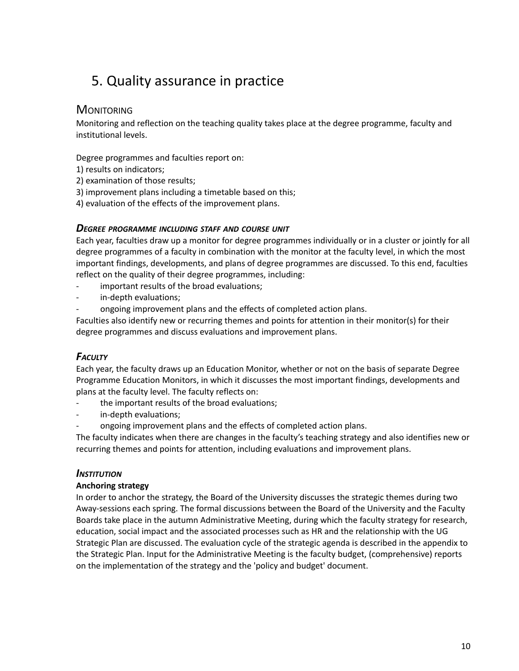# <span id="page-9-0"></span>5. Quality assurance in practice

## <span id="page-9-1"></span>**MONITORING**

Monitoring and reflection on the teaching quality takes place at the degree programme, faculty and institutional levels.

Degree programmes and faculties report on:

- 1) results on indicators;
- 2) examination of those results;
- 3) improvement plans including a timetable based on this;
- 4) evaluation of the effects of the improvement plans.

#### <span id="page-9-2"></span>*DEGREE PROGRAMME INCLUDING STAFF AND COURSE UNIT*

Each year, faculties draw up a monitor for degree programmes individually or in a cluster or jointly for all degree programmes of a faculty in combination with the monitor at the faculty level, in which the most important findings, developments, and plans of degree programmes are discussed. To this end, faculties reflect on the quality of their degree programmes, including:

- important results of the broad evaluations;
- in-depth evaluations;
- ongoing improvement plans and the effects of completed action plans.

Faculties also identify new or recurring themes and points for attention in their monitor(s) for their degree programmes and discuss evaluations and improvement plans.

# <span id="page-9-3"></span>*FACULTY*

Each year, the faculty draws up an Education Monitor, whether or not on the basis of separate Degree Programme Education Monitors, in which it discusses the most important findings, developments and plans at the faculty level. The faculty reflects on:

- the important results of the broad evaluations;
- in-depth evaluations;
- ongoing improvement plans and the effects of completed action plans.

The faculty indicates when there are changes in the faculty's teaching strategy and also identifies new or recurring themes and points for attention, including evaluations and improvement plans.

#### <span id="page-9-4"></span>*INSTITUTION*

#### <span id="page-9-5"></span>**Anchoring strategy**

In order to anchor the strategy, the Board of the University discusses the strategic themes during two Away-sessions each spring. The formal discussions between the Board of the University and the Faculty Boards take place in the autumn Administrative Meeting, during which the faculty strategy for research, education, social impact and the associated processes such as HR and the relationship with the UG Strategic Plan are discussed. The evaluation cycle of the strategic agenda is described in the appendix to the Strategic Plan. Input for the Administrative Meeting is the faculty budget, (comprehensive) reports on the implementation of the strategy and the 'policy and budget' document.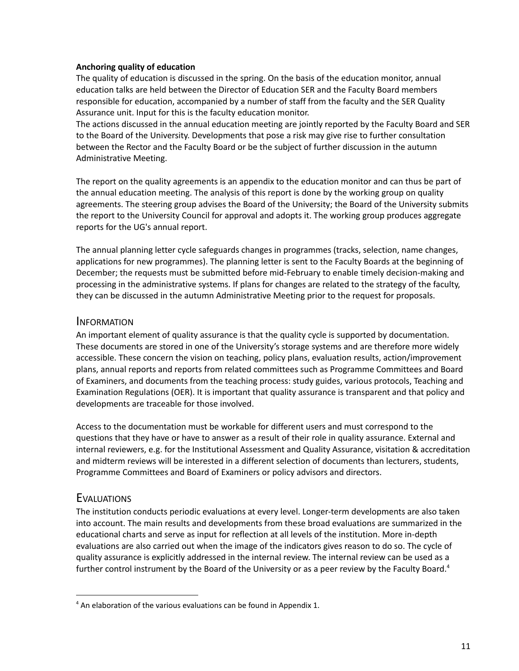#### <span id="page-10-0"></span>**Anchoring quality of education**

The quality of education is discussed in the spring. On the basis of the education monitor, annual education talks are held between the Director of Education SER and the Faculty Board members responsible for education, accompanied by a number of staff from the faculty and the SER Quality Assurance unit. Input for this is the faculty education monitor.

The actions discussed in the annual education meeting are jointly reported by the Faculty Board and SER to the Board of the University. Developments that pose a risk may give rise to further consultation between the Rector and the Faculty Board or be the subject of further discussion in the autumn Administrative Meeting.

The report on the quality agreements is an appendix to the education monitor and can thus be part of the annual education meeting. The analysis of this report is done by the working group on quality agreements. The steering group advises the Board of the University; the Board of the University submits the report to the University Council for approval and adopts it. The working group produces aggregate reports for the UG's annual report.

The annual planning letter cycle safeguards changes in programmes (tracks, selection, name changes, applications for new programmes). The planning letter is sent to the Faculty Boards at the beginning of December; the requests must be submitted before mid-February to enable timely decision-making and processing in the administrative systems. If plans for changes are related to the strategy of the faculty, they can be discussed in the autumn Administrative Meeting prior to the request for proposals.

#### <span id="page-10-1"></span>**INFORMATION**

An important element of quality assurance is that the quality cycle is supported by documentation. These documents are stored in one of the University's storage systems and are therefore more widely accessible. These concern the vision on teaching, policy plans, evaluation results, action/improvement plans, annual reports and reports from related committees such as Programme Committees and Board of Examiners, and documents from the teaching process: study guides, various protocols, Teaching and Examination Regulations (OER). It is important that quality assurance is transparent and that policy and developments are traceable for those involved.

Access to the documentation must be workable for different users and must correspond to the questions that they have or have to answer as a result of their role in quality assurance. External and internal reviewers, e.g. for the Institutional Assessment and Quality Assurance, visitation & accreditation and midterm reviews will be interested in a different selection of documents than lecturers, students, Programme Committees and Board of Examiners or policy advisors and directors.

## <span id="page-10-2"></span>**EVALUATIONS**

The institution conducts periodic evaluations at every level. Longer-term developments are also taken into account. The main results and developments from these broad evaluations are summarized in the educational charts and serve as input for reflection at all levels of the institution. More in-depth evaluations are also carried out when the image of the indicators gives reason to do so. The cycle of quality assurance is explicitly addressed in the internal review. The internal review can be used as a further control instrument by the Board of the University or as a peer review by the Faculty Board.<sup>4</sup>

 $4$  An elaboration of the various evaluations can be found in Appendix 1.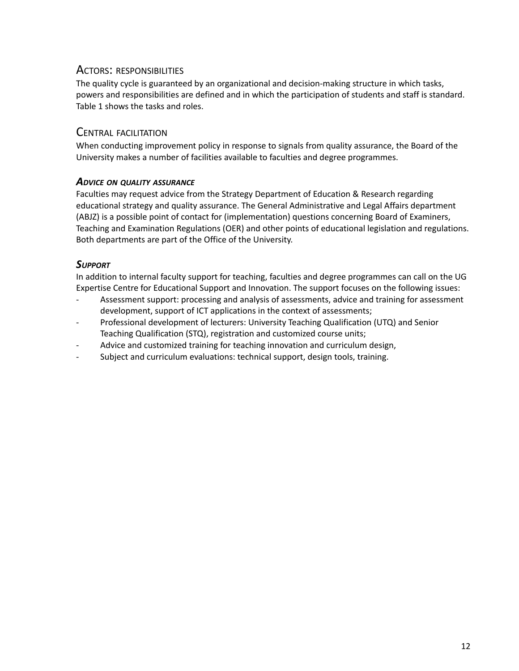## <span id="page-11-0"></span>ACTORS: RESPONSIBILITIES

The quality cycle is guaranteed by an organizational and decision-making structure in which tasks, powers and responsibilities are defined and in which the participation of students and staff is standard. Table 1 shows the tasks and roles.

## <span id="page-11-1"></span>CENTRAL FACILITATION

When conducting improvement policy in response to signals from quality assurance, the Board of the University makes a number of facilities available to faculties and degree programmes.

### <span id="page-11-2"></span>*ADVICE ON QUALITY ASSURANCE*

Faculties may request advice from the Strategy Department of Education & Research regarding educational strategy and quality assurance. The General Administrative and Legal Affairs department (ABJZ) is a possible point of contact for (implementation) questions concerning Board of Examiners, Teaching and Examination Regulations (OER) and other points of educational legislation and regulations. Both departments are part of the Office of the University.

## <span id="page-11-3"></span>*SUPPORT*

In addition to internal faculty support for teaching, faculties and degree programmes can call on the UG Expertise Centre for Educational Support and Innovation. The support focuses on the following issues:

- Assessment support: processing and analysis of assessments, advice and training for assessment development, support of ICT applications in the context of assessments;
- Professional development of lecturers: University Teaching Qualification (UTQ) and Senior Teaching Qualification (STQ), registration and customized course units;
- Advice and customized training for teaching innovation and curriculum design,
- Subject and curriculum evaluations: technical support, design tools, training.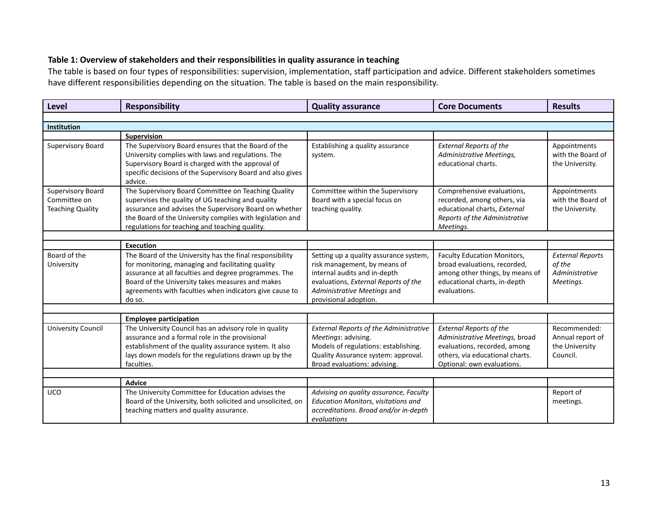#### **Table 1: Overview of stakeholders and their responsibilities in quality assurance in teaching**

The table is based on four types of responsibilities: supervision, implementation, staff participation and advice. Different stakeholders sometimes have different responsibilities depending on the situation. The table is based on the main responsibility.

| Level                                                        | <b>Responsibility</b>                                                                                                                                                                                                                                                                           | <b>Quality assurance</b>                                                                                                                                                                               | <b>Core Documents</b>                                                                                                                                             | <b>Results</b>                                                   |
|--------------------------------------------------------------|-------------------------------------------------------------------------------------------------------------------------------------------------------------------------------------------------------------------------------------------------------------------------------------------------|--------------------------------------------------------------------------------------------------------------------------------------------------------------------------------------------------------|-------------------------------------------------------------------------------------------------------------------------------------------------------------------|------------------------------------------------------------------|
|                                                              |                                                                                                                                                                                                                                                                                                 |                                                                                                                                                                                                        |                                                                                                                                                                   |                                                                  |
| Institution                                                  |                                                                                                                                                                                                                                                                                                 |                                                                                                                                                                                                        |                                                                                                                                                                   |                                                                  |
|                                                              | <b>Supervision</b>                                                                                                                                                                                                                                                                              |                                                                                                                                                                                                        |                                                                                                                                                                   |                                                                  |
| Supervisory Board                                            | The Supervisory Board ensures that the Board of the<br>University complies with laws and regulations. The<br>Supervisory Board is charged with the approval of<br>specific decisions of the Supervisory Board and also gives<br>advice.                                                         | Establishing a quality assurance<br>system.                                                                                                                                                            | <b>External Reports of the</b><br>Administrative Meetings,<br>educational charts.                                                                                 | Appointments<br>with the Board of<br>the University.             |
| Supervisory Board<br>Committee on<br><b>Teaching Quality</b> | The Supervisory Board Committee on Teaching Quality<br>supervises the quality of UG teaching and quality<br>assurance and advises the Supervisory Board on whether<br>the Board of the University complies with legislation and<br>regulations for teaching and teaching quality.               | Committee within the Supervisory<br>Board with a special focus on<br>teaching quality.                                                                                                                 | Comprehensive evaluations,<br>recorded, among others, via<br>educational charts, External<br>Reports of the Administrative<br>Meetings.                           | Appointments<br>with the Board of<br>the University.             |
|                                                              |                                                                                                                                                                                                                                                                                                 |                                                                                                                                                                                                        |                                                                                                                                                                   |                                                                  |
|                                                              | <b>Execution</b>                                                                                                                                                                                                                                                                                |                                                                                                                                                                                                        |                                                                                                                                                                   |                                                                  |
| Board of the<br>University                                   | The Board of the University has the final responsibility<br>for monitoring, managing and facilitating quality<br>assurance at all faculties and degree programmes. The<br>Board of the University takes measures and makes<br>agreements with faculties when indicators give cause to<br>do so. | Setting up a quality assurance system,<br>risk management, by means of<br>internal audits and in-depth<br>evaluations, External Reports of the<br>Administrative Meetings and<br>provisional adoption. | Faculty Education Monitors,<br>broad evaluations, recorded,<br>among other things, by means of<br>educational charts, in-depth<br>evaluations.                    | <b>External Reports</b><br>of the<br>Administrative<br>Meetings. |
|                                                              |                                                                                                                                                                                                                                                                                                 |                                                                                                                                                                                                        |                                                                                                                                                                   |                                                                  |
|                                                              | <b>Employee participation</b>                                                                                                                                                                                                                                                                   |                                                                                                                                                                                                        |                                                                                                                                                                   |                                                                  |
| <b>University Council</b>                                    | The University Council has an advisory role in quality<br>assurance and a formal role in the provisional<br>establishment of the quality assurance system. It also<br>lays down models for the regulations drawn up by the<br>faculties.                                                        | <b>External Reports of the Administrative</b><br>Meetings: advising.<br>Models of regulations: establishing.<br>Quality Assurance system: approval.<br>Broad evaluations: advising.                    | <b>External Reports of the</b><br>Administrative Meetings, broad<br>evaluations, recorded, among<br>others, via educational charts.<br>Optional: own evaluations. | Recommended:<br>Annual report of<br>the University<br>Council.   |
|                                                              |                                                                                                                                                                                                                                                                                                 |                                                                                                                                                                                                        |                                                                                                                                                                   |                                                                  |
|                                                              | <b>Advice</b>                                                                                                                                                                                                                                                                                   |                                                                                                                                                                                                        |                                                                                                                                                                   |                                                                  |
| <b>UCO</b>                                                   | The University Committee for Education advises the<br>Board of the University, both solicited and unsolicited, on<br>teaching matters and quality assurance.                                                                                                                                    | Advising on quality assurance, Faculty<br><b>Education Monitors, visitations and</b><br>accreditations. Broad and/or in-depth<br>evaluations                                                           |                                                                                                                                                                   | Report of<br>meetings.                                           |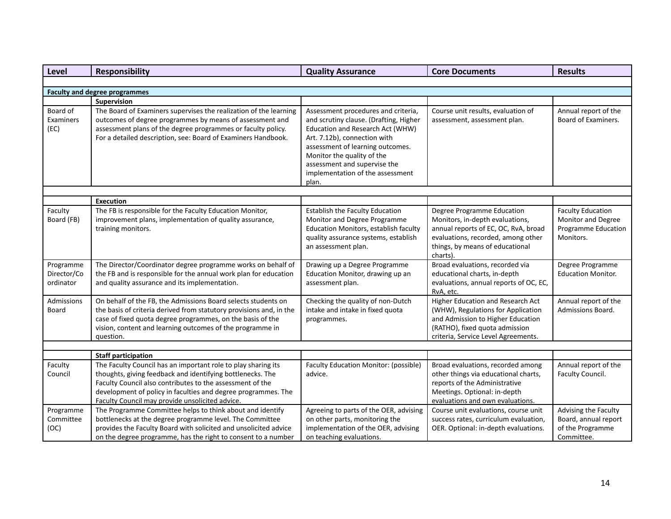| <b>Level</b>                          | <b>Responsibility</b><br><b>Quality Assurance</b>                                                                                                                                                                                                                                                            |                                                                                                                                                                                                                                                                                                  | <b>Core Documents</b>                                                                                                                                                                 | <b>Results</b>                                 |
|---------------------------------------|--------------------------------------------------------------------------------------------------------------------------------------------------------------------------------------------------------------------------------------------------------------------------------------------------------------|--------------------------------------------------------------------------------------------------------------------------------------------------------------------------------------------------------------------------------------------------------------------------------------------------|---------------------------------------------------------------------------------------------------------------------------------------------------------------------------------------|------------------------------------------------|
|                                       |                                                                                                                                                                                                                                                                                                              |                                                                                                                                                                                                                                                                                                  |                                                                                                                                                                                       |                                                |
|                                       | <b>Faculty and degree programmes</b>                                                                                                                                                                                                                                                                         |                                                                                                                                                                                                                                                                                                  |                                                                                                                                                                                       |                                                |
|                                       | Supervision                                                                                                                                                                                                                                                                                                  |                                                                                                                                                                                                                                                                                                  |                                                                                                                                                                                       |                                                |
| Board of<br>Examiners<br>(EC)         | The Board of Examiners supervises the realization of the learning<br>outcomes of degree programmes by means of assessment and<br>assessment plans of the degree programmes or faculty policy.<br>For a detailed description, see: Board of Examiners Handbook.                                               | Assessment procedures and criteria,<br>and scrutiny clause. (Drafting, Higher<br>Education and Research Act (WHW)<br>Art. 7.12b), connection with<br>assessment of learning outcomes.<br>Monitor the quality of the<br>assessment and supervise the<br>implementation of the assessment<br>plan. | Course unit results, evaluation of<br>assessment, assessment plan.                                                                                                                    | Annual report of the<br>Board of Examiners.    |
|                                       |                                                                                                                                                                                                                                                                                                              |                                                                                                                                                                                                                                                                                                  |                                                                                                                                                                                       |                                                |
| Faculty<br>Board (FB)                 | <b>Execution</b><br>The FB is responsible for the Faculty Education Monitor,<br>improvement plans, implementation of quality assurance,                                                                                                                                                                      | Establish the Faculty Education<br>Monitor and Degree Programme                                                                                                                                                                                                                                  | Degree Programme Education<br>Monitors, in-depth evaluations,                                                                                                                         | <b>Faculty Education</b><br>Monitor and Degree |
|                                       | training monitors.                                                                                                                                                                                                                                                                                           | Education Monitors, establish faculty<br>quality assurance systems, establish<br>an assessment plan.                                                                                                                                                                                             | annual reports of EC, OC, RvA, broad<br>evaluations, recorded, among other<br>things, by means of educational<br>charts).                                                             | Programme Education<br>Monitors.               |
| Programme<br>Director/Co<br>ordinator | The Director/Coordinator degree programme works on behalf of<br>the FB and is responsible for the annual work plan for education<br>and quality assurance and its implementation.                                                                                                                            | Drawing up a Degree Programme<br>Education Monitor, drawing up an<br>assessment plan.                                                                                                                                                                                                            | Broad evaluations, recorded via<br>educational charts, in-depth<br>evaluations, annual reports of OC, EC,<br>RvA, etc.                                                                | Degree Programme<br><b>Education Monitor.</b>  |
| Admissions<br><b>Board</b>            | On behalf of the FB, the Admissions Board selects students on<br>the basis of criteria derived from statutory provisions and, in the<br>case of fixed quota degree programmes, on the basis of the<br>vision, content and learning outcomes of the programme in<br>question.                                 | Checking the quality of non-Dutch<br>intake and intake in fixed quota<br>programmes.                                                                                                                                                                                                             | Higher Education and Research Act<br>(WHW), Regulations for Application<br>and Admission to Higher Education<br>(RATHO), fixed quota admission<br>criteria, Service Level Agreements. | Annual report of the<br>Admissions Board.      |
|                                       |                                                                                                                                                                                                                                                                                                              |                                                                                                                                                                                                                                                                                                  |                                                                                                                                                                                       |                                                |
|                                       | <b>Staff participation</b>                                                                                                                                                                                                                                                                                   |                                                                                                                                                                                                                                                                                                  |                                                                                                                                                                                       |                                                |
| Faculty<br>Council                    | The Faculty Council has an important role to play sharing its<br>thoughts, giving feedback and identifying bottlenecks. The<br>Faculty Council also contributes to the assessment of the<br>development of policy in faculties and degree programmes. The<br>Faculty Council may provide unsolicited advice. | Faculty Education Monitor: (possible)<br>advice.                                                                                                                                                                                                                                                 | Broad evaluations, recorded among<br>other things via educational charts,<br>reports of the Administrative<br>Meetings. Optional: in-depth<br>evaluations and own evaluations.        | Annual report of the<br>Faculty Council.       |
| Programme                             | The Programme Committee helps to think about and identify                                                                                                                                                                                                                                                    | Agreeing to parts of the OER, advising                                                                                                                                                                                                                                                           | Course unit evaluations, course unit                                                                                                                                                  | Advising the Faculty                           |
| Committee                             | bottlenecks at the degree programme level. The Committee                                                                                                                                                                                                                                                     | on other parts, monitoring the                                                                                                                                                                                                                                                                   | success rates, curriculum evaluation,                                                                                                                                                 | Board, annual report                           |
| (OC)                                  | provides the Faculty Board with solicited and unsolicited advice<br>on the degree programme, has the right to consent to a number                                                                                                                                                                            | implementation of the OER, advising<br>on teaching evaluations.                                                                                                                                                                                                                                  | OER. Optional: in-depth evaluations.                                                                                                                                                  | of the Programme<br>Committee.                 |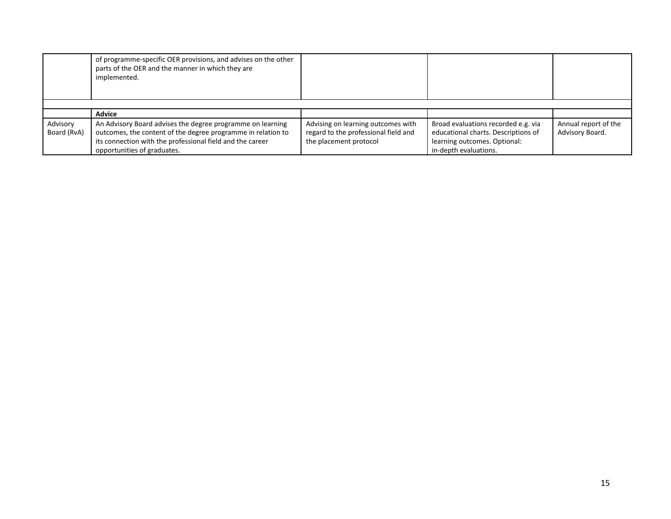|                         | of programme-specific OER provisions, and advises on the other<br>parts of the OER and the manner in which they are<br>implemented.                                                                                    |                                                                                                      |                                                                                                                                     |                                         |
|-------------------------|------------------------------------------------------------------------------------------------------------------------------------------------------------------------------------------------------------------------|------------------------------------------------------------------------------------------------------|-------------------------------------------------------------------------------------------------------------------------------------|-----------------------------------------|
|                         |                                                                                                                                                                                                                        |                                                                                                      |                                                                                                                                     |                                         |
|                         | <b>Advice</b>                                                                                                                                                                                                          |                                                                                                      |                                                                                                                                     |                                         |
| Advisory<br>Board (RvA) | An Advisory Board advises the degree programme on learning<br>outcomes, the content of the degree programme in relation to<br>its connection with the professional field and the career<br>opportunities of graduates. | Advising on learning outcomes with<br>regard to the professional field and<br>the placement protocol | Broad evaluations recorded e.g. via<br>educational charts. Descriptions of<br>learning outcomes. Optional:<br>in-depth evaluations. | Annual report of the<br>Advisory Board. |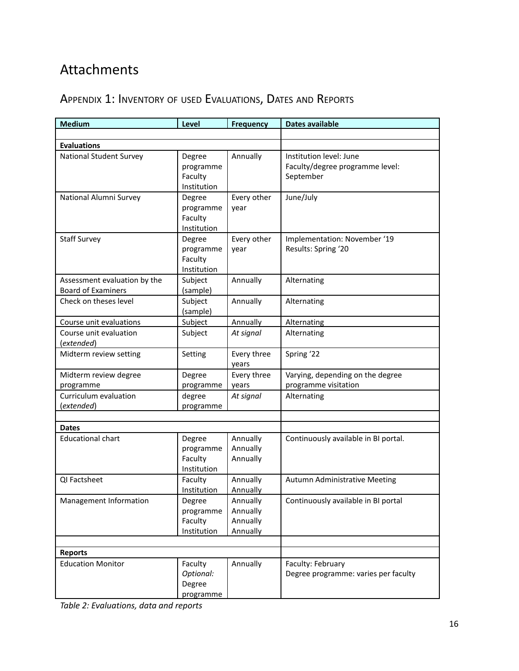# <span id="page-15-0"></span>Attachments

# <span id="page-15-1"></span>APPENDIX 1: INVENTORY OF USED EVALUATIONS, DATES AND REPORTS

| <b>Medium</b>                                             | Level                                         | <b>Frequency</b>                             | Dates available                                                         |
|-----------------------------------------------------------|-----------------------------------------------|----------------------------------------------|-------------------------------------------------------------------------|
|                                                           |                                               |                                              |                                                                         |
| <b>Evaluations</b>                                        |                                               |                                              |                                                                         |
| <b>National Student Survey</b>                            | Degree<br>programme<br>Faculty<br>Institution | Annually                                     | Institution level: June<br>Faculty/degree programme level:<br>September |
| National Alumni Survey                                    | Degree<br>programme<br>Faculty<br>Institution | Every other<br>year                          | June/July                                                               |
| <b>Staff Survey</b>                                       | Degree<br>programme<br>Faculty<br>Institution | Every other<br>year                          | Implementation: November '19<br>Results: Spring '20                     |
| Assessment evaluation by the<br><b>Board of Examiners</b> | Subject<br>(sample)                           | Annually                                     | Alternating                                                             |
| Check on theses level                                     | Subject<br>(sample)                           | Annually                                     | Alternating                                                             |
| Course unit evaluations                                   | Subject                                       | Annually                                     | Alternating                                                             |
| Course unit evaluation<br>(extended)                      | Subject                                       | At signal                                    | Alternating                                                             |
| Midterm review setting                                    | Setting                                       | Every three<br>years                         | Spring '22                                                              |
| Midterm review degree<br>programme                        | Degree<br>programme                           | Every three<br>years                         | Varying, depending on the degree<br>programme visitation                |
| Curriculum evaluation<br>(extended)                       | degree<br>programme                           | At signal                                    | Alternating                                                             |
|                                                           |                                               |                                              |                                                                         |
| <b>Dates</b>                                              |                                               |                                              |                                                                         |
| <b>Educational chart</b>                                  | Degree<br>programme<br>Faculty<br>Institution | Annually<br>Annually<br>Annually             | Continuously available in BI portal.                                    |
| QI Factsheet                                              | Faculty<br>Institution                        | Annually<br>Annually                         | <b>Autumn Administrative Meeting</b>                                    |
| Management Information                                    | Degree<br>programme<br>Faculty<br>Institution | Annually<br>Annually<br>Annually<br>Annually | Continuously available in BI portal                                     |
| <b>Reports</b>                                            |                                               |                                              |                                                                         |
| <b>Education Monitor</b>                                  | Faculty<br>Optional:<br>Degree<br>programme   | Annually                                     | Faculty: February<br>Degree programme: varies per faculty               |

*Table 2: Evaluations, data and reports*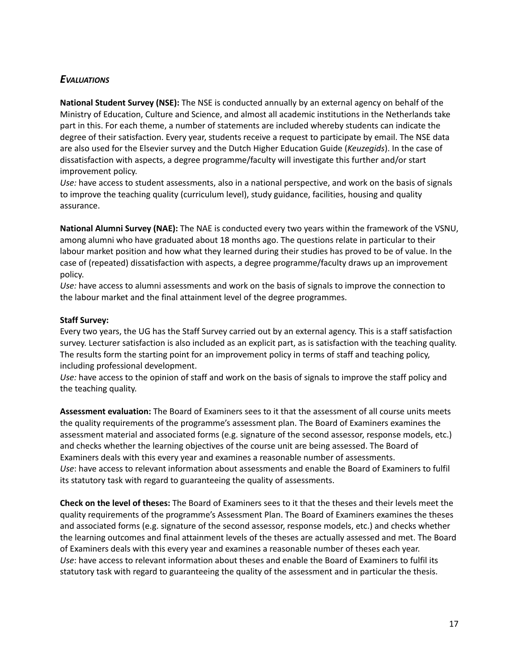## <span id="page-16-0"></span>*EVALUATIONS*

**National Student Survey (NSE):** The NSE is conducted annually by an external agency on behalf of the Ministry of Education, Culture and Science, and almost all academic institutions in the Netherlands take part in this. For each theme, a number of statements are included whereby students can indicate the degree of their satisfaction. Every year, students receive a request to participate by email. The NSE data are also used for the Elsevier survey and the Dutch Higher Education Guide (*Keuzegids*). In the case of dissatisfaction with aspects, a degree programme/faculty will investigate this further and/or start improvement policy.

*Use:* have access to student assessments, also in a national perspective, and work on the basis of signals to improve the teaching quality (curriculum level), study guidance, facilities, housing and quality assurance.

**National Alumni Survey (NAE):** The NAE is conducted every two years within the framework of the VSNU, among alumni who have graduated about 18 months ago. The questions relate in particular to their labour market position and how what they learned during their studies has proved to be of value. In the case of (repeated) dissatisfaction with aspects, a degree programme/faculty draws up an improvement policy.

*Use:* have access to alumni assessments and work on the basis of signals to improve the connection to the labour market and the final attainment level of the degree programmes.

#### **Staff Survey:**

Every two years, the UG has the Staff Survey carried out by an external agency. This is a staff satisfaction survey. Lecturer satisfaction is also included as an explicit part, as is satisfaction with the teaching quality. The results form the starting point for an improvement policy in terms of staff and teaching policy, including professional development.

*Use:* have access to the opinion of staff and work on the basis of signals to improve the staff policy and the teaching quality.

**Assessment evaluation:** The Board of Examiners sees to it that the assessment of all course units meets the quality requirements of the programme's assessment plan. The Board of Examiners examines the assessment material and associated forms (e.g. signature of the second assessor, response models, etc.) and checks whether the learning objectives of the course unit are being assessed. The Board of Examiners deals with this every year and examines a reasonable number of assessments. *Use*: have access to relevant information about assessments and enable the Board of Examiners to fulfil its statutory task with regard to guaranteeing the quality of assessments.

**Check on the level of theses:** The Board of Examiners sees to it that the theses and their levels meet the quality requirements of the programme's Assessment Plan. The Board of Examiners examines the theses and associated forms (e.g. signature of the second assessor, response models, etc.) and checks whether the learning outcomes and final attainment levels of the theses are actually assessed and met. The Board of Examiners deals with this every year and examines a reasonable number of theses each year. *Use*: have access to relevant information about theses and enable the Board of Examiners to fulfil its statutory task with regard to guaranteeing the quality of the assessment and in particular the thesis.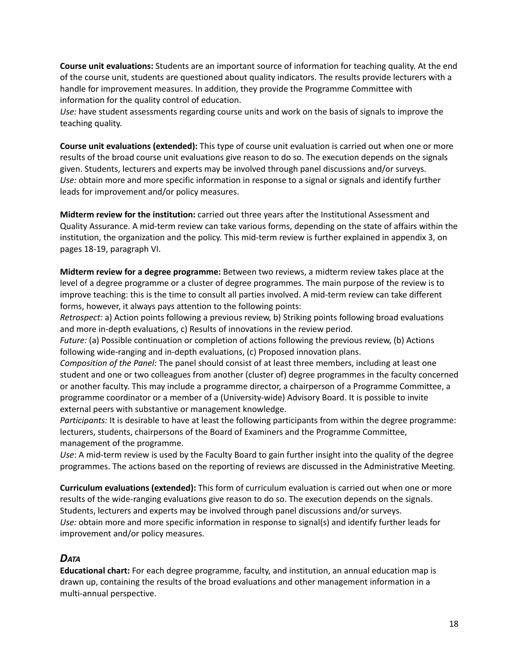**Course unit evaluations:** Students are an important source of information for teaching quality. At the end of the course unit, students are questioned about quality indicators. The results provide lecturers with a handle for improvement measures. In addition, they provide the Programme Committee with information for the quality control of education.

*Use:* have student assessments regarding course units and work on the basis of signals to improve the teaching quality.

**Course unit evaluations (extended):** This type of course unit evaluation is carried out when one or more results of the broad course unit evaluations give reason to do so. The execution depends on the signals given. Students, lecturers and experts may be involved through panel discussions and/or surveys. *Use:* obtain more and more specific information in response to a signal or signals and identify further leads for improvement and/or policy measures.

**Midterm review for the institution:** carried out three years after the Institutional Assessment and Quality Assurance. A mid-term review can take various forms, depending on the state of affairs within the institution, the organization and the policy. This mid-term review is further explained in appendix 3, on pages 18-19, paragraph VI.

**Midterm review for a degree programme:** Between two reviews, a midterm review takes place at the level of a degree programme or a cluster of degree programmes. The main purpose of the review is to improve teaching: this is the time to consult all parties involved. A mid-term review can take different forms, however, it always pays attention to the following points:

*Retrospect:* a) Action points following a previous review, b) Striking points following broad evaluations and more in-depth evaluations, c) Results of innovations in the review period.

*Future:* (a) Possible continuation or completion of actions following the previous review, (b) Actions following wide-ranging and in-depth evaluations, (c) Proposed innovation plans.

*Composition of the Panel:* The panel should consist of at least three members, including at least one student and one or two colleagues from another (cluster of) degree programmes in the faculty concerned or another faculty. This may include a programme director, a chairperson of a Programme Committee, a programme coordinator or a member of a (University-wide) Advisory Board. It is possible to invite external peers with substantive or management knowledge.

*Participants:* It is desirable to have at least the following participants from within the degree programme: lecturers, students, chairpersons of the Board of Examiners and the Programme Committee, management of the programme.

*Use*: A mid-term review is used by the Faculty Board to gain further insight into the quality of the degree programmes. The actions based on the reporting of reviews are discussed in the Administrative Meeting.

**Curriculum evaluations (extended):** This form of curriculum evaluation is carried out when one or more results of the wide-ranging evaluations give reason to do so. The execution depends on the signals. Students, lecturers and experts may be involved through panel discussions and/or surveys. *Use:* obtain more and more specific information in response to signal(s) and identify further leads for improvement and/or policy measures.

## <span id="page-17-0"></span>*DATA*

**Educational chart:** For each degree programme, faculty, and institution, an annual education map is drawn up, containing the results of the broad evaluations and other management information in a multi-annual perspective.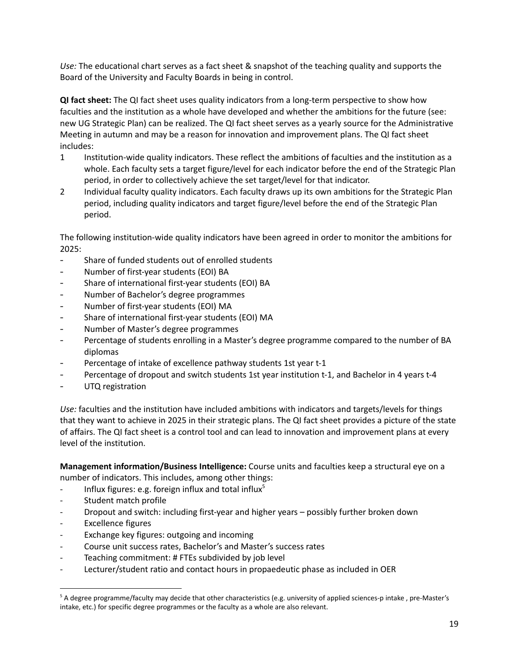*Use:* The educational chart serves as a fact sheet & snapshot of the teaching quality and supports the Board of the University and Faculty Boards in being in control.

**QI fact sheet:** The QI fact sheet uses quality indicators from a long-term perspective to show how faculties and the institution as a whole have developed and whether the ambitions for the future (see: new UG Strategic Plan) can be realized. The QI fact sheet serves as a yearly source for the Administrative Meeting in autumn and may be a reason for innovation and improvement plans. The QI fact sheet includes:

- 1 Institution-wide quality indicators. These reflect the ambitions of faculties and the institution as a whole. Each faculty sets a target figure/level for each indicator before the end of the Strategic Plan period, in order to collectively achieve the set target/level for that indicator.
- 2 Individual faculty quality indicators. Each faculty draws up its own ambitions for the Strategic Plan period, including quality indicators and target figure/level before the end of the Strategic Plan period.

The following institution-wide quality indicators have been agreed in order to monitor the ambitions for 2025:

- Share of funded students out of enrolled students
- Number of first-year students (EOI) BA
- Share of international first-year students (EOI) BA
- Number of Bachelor's degree programmes
- Number of first-year students (EOI) MA
- Share of international first-year students (EOI) MA
- Number of Master's degree programmes
- Percentage of students enrolling in a Master's degree programme compared to the number of BA diplomas
- Percentage of intake of excellence pathway students 1st year t-1
- Percentage of dropout and switch students 1st year institution t-1, and Bachelor in 4 years t-4
- UTQ registration

*Use:* faculties and the institution have included ambitions with indicators and targets/levels for things that they want to achieve in 2025 in their strategic plans. The QI fact sheet provides a picture of the state of affairs. The QI fact sheet is a control tool and can lead to innovation and improvement plans at every level of the institution.

**Management information/Business Intelligence:** Course units and faculties keep a structural eye on a number of indicators. This includes, among other things:

- Influx figures: e.g. foreign influx and total influx<sup>5</sup>
- Student match profile
- Dropout and switch: including first-year and higher years possibly further broken down
- Excellence figures
- Exchange key figures: outgoing and incoming
- Course unit success rates, Bachelor's and Master's success rates
- Teaching commitment: # FTEs subdivided by job level
- Lecturer/student ratio and contact hours in propaedeutic phase as included in OER

<sup>5</sup> A degree programme/faculty may decide that other characteristics (e.g. university of applied sciences-p intake , pre-Master's intake, etc.) for specific degree programmes or the faculty as a whole are also relevant.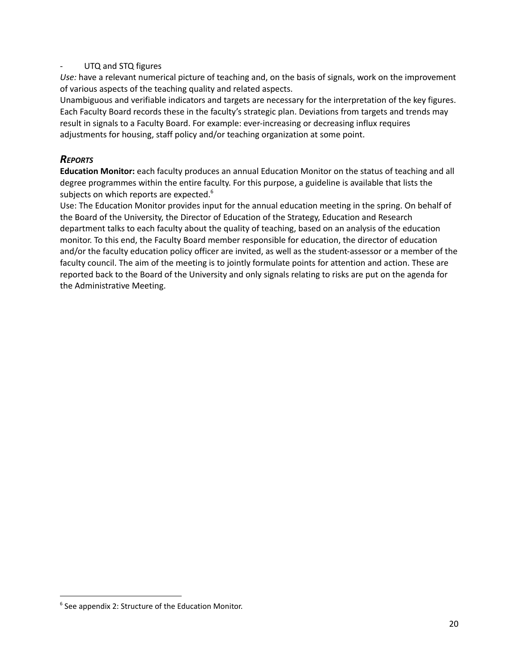#### UTQ and STQ figures

*Use:* have a relevant numerical picture of teaching and, on the basis of signals, work on the improvement of various aspects of the teaching quality and related aspects.

Unambiguous and verifiable indicators and targets are necessary for the interpretation of the key figures. Each Faculty Board records these in the faculty's strategic plan. Deviations from targets and trends may result in signals to a Faculty Board. For example: ever-increasing or decreasing influx requires adjustments for housing, staff policy and/or teaching organization at some point.

## <span id="page-19-0"></span>*REPORTS*

**Education Monitor:** each faculty produces an annual Education Monitor on the status of teaching and all degree programmes within the entire faculty. For this purpose, a guideline is available that lists the subjects on which reports are expected.<sup>6</sup>

Use: The Education Monitor provides input for the annual education meeting in the spring. On behalf of the Board of the University, the Director of Education of the Strategy, Education and Research department talks to each faculty about the quality of teaching, based on an analysis of the education monitor. To this end, the Faculty Board member responsible for education, the director of education and/or the faculty education policy officer are invited, as well as the student-assessor or a member of the faculty council. The aim of the meeting is to jointly formulate points for attention and action. These are reported back to the Board of the University and only signals relating to risks are put on the agenda for the Administrative Meeting.

 $6$  See appendix 2: Structure of the Education Monitor.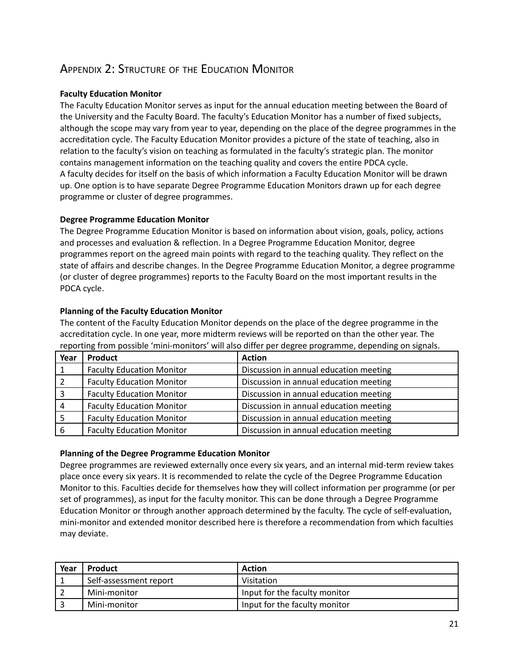# <span id="page-20-0"></span>APPENDIX 2: STRUCTURE OF THE EDUCATION MONITOR

#### **Faculty Education Monitor**

The Faculty Education Monitor serves as input for the annual education meeting between the Board of the University and the Faculty Board. The faculty's Education Monitor has a number of fixed subjects, although the scope may vary from year to year, depending on the place of the degree programmes in the accreditation cycle. The Faculty Education Monitor provides a picture of the state of teaching, also in relation to the faculty's vision on teaching as formulated in the faculty's strategic plan. The monitor contains management information on the teaching quality and covers the entire PDCA cycle. A faculty decides for itself on the basis of which information a Faculty Education Monitor will be drawn up. One option is to have separate Degree Programme Education Monitors drawn up for each degree programme or cluster of degree programmes.

#### **Degree Programme Education Monitor**

The Degree Programme Education Monitor is based on information about vision, goals, policy, actions and processes and evaluation & reflection. In a Degree Programme Education Monitor, degree programmes report on the agreed main points with regard to the teaching quality. They reflect on the state of affairs and describe changes. In the Degree Programme Education Monitor, a degree programme (or cluster of degree programmes) reports to the Faculty Board on the most important results in the PDCA cycle.

#### **Planning of the Faculty Education Monitor**

The content of the Faculty Education Monitor depends on the place of the degree programme in the accreditation cycle. In one year, more midterm reviews will be reported on than the other year. The reporting from possible 'mini-monitors' will also differ per degree programme, depending on signals.

| Year | <b>Product</b>                   | <b>Action</b>                          |
|------|----------------------------------|----------------------------------------|
|      | <b>Faculty Education Monitor</b> | Discussion in annual education meeting |
|      | <b>Faculty Education Monitor</b> | Discussion in annual education meeting |
| 3    | <b>Faculty Education Monitor</b> | Discussion in annual education meeting |
| 4    | <b>Faculty Education Monitor</b> | Discussion in annual education meeting |
|      | <b>Faculty Education Monitor</b> | Discussion in annual education meeting |
| 6    | <b>Faculty Education Monitor</b> | Discussion in annual education meeting |

#### **Planning of the Degree Programme Education Monitor**

Degree programmes are reviewed externally once every six years, and an internal mid-term review takes place once every six years. It is recommended to relate the cycle of the Degree Programme Education Monitor to this. Faculties decide for themselves how they will collect information per programme (or per set of programmes), as input for the faculty monitor. This can be done through a Degree Programme Education Monitor or through another approach determined by the faculty. The cycle of self-evaluation, mini-monitor and extended monitor described here is therefore a recommendation from which faculties may deviate.

| Year | Product                | <b>Action</b>                 |
|------|------------------------|-------------------------------|
|      | Self-assessment report | Visitation                    |
|      | Mini-monitor           | Input for the faculty monitor |
|      | Mini-monitor           | Input for the faculty monitor |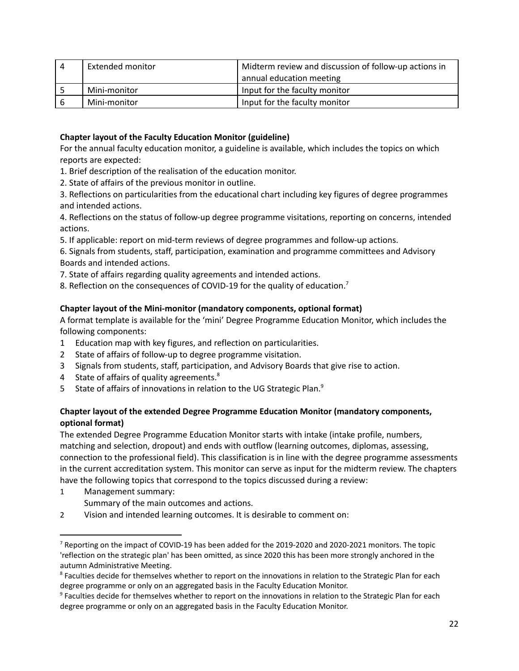| -4 | Extended monitor | Midterm review and discussion of follow-up actions in |
|----|------------------|-------------------------------------------------------|
|    |                  | annual education meeting                              |
|    | Mini-monitor     | Input for the faculty monitor                         |
| -6 | Mini-monitor     | Input for the faculty monitor                         |

#### **Chapter layout of the Faculty Education Monitor (guideline)**

For the annual faculty education monitor, a guideline is available, which includes the topics on which reports are expected:

- 1. Brief description of the realisation of the education monitor.
- 2. State of affairs of the previous monitor in outline.

3. Reflections on particularities from the educational chart including key figures of degree programmes and intended actions.

4. Reflections on the status of follow-up degree programme visitations, reporting on concerns, intended actions.

5. If applicable: report on mid-term reviews of degree programmes and follow-up actions.

6. Signals from students, staff, participation, examination and programme committees and Advisory Boards and intended actions.

- 7. State of affairs regarding quality agreements and intended actions.
- 8. Reflection on the consequences of COVID-19 for the quality of education.<sup>7</sup>

#### **Chapter layout of the Mini-monitor (mandatory components, optional format)**

A format template is available for the 'mini' Degree Programme Education Monitor, which includes the following components:

- 1 Education map with key figures, and reflection on particularities.
- 2 State of affairs of follow-up to degree programme visitation.
- 3 Signals from students, staff, participation, and Advisory Boards that give rise to action.
- 4 State of affairs of quality agreements.<sup>8</sup>
- 5 State of affairs of innovations in relation to the UG Strategic Plan.<sup>9</sup>

#### **Chapter layout of the extended Degree Programme Education Monitor (mandatory components, optional format)**

The extended Degree Programme Education Monitor starts with intake (intake profile, numbers, matching and selection, dropout) and ends with outflow (learning outcomes, diplomas, assessing, connection to the professional field). This classification is in line with the degree programme assessments in the current accreditation system. This monitor can serve as input for the midterm review. The chapters have the following topics that correspond to the topics discussed during a review:

- 1 Management summary:
	- Summary of the main outcomes and actions.
- 2 Vision and intended learning outcomes. It is desirable to comment on:

<sup>&</sup>lt;sup>7</sup> Reporting on the impact of COVID-19 has been added for the 2019-2020 and 2020-2021 monitors. The topic 'reflection on the strategic plan' has been omitted, as since 2020 this has been more strongly anchored in the autumn Administrative Meeting.

<sup>&</sup>lt;sup>8</sup> Faculties decide for themselves whether to report on the innovations in relation to the Strategic Plan for each degree programme or only on an aggregated basis in the Faculty Education Monitor.

<sup>&</sup>lt;sup>9</sup> Faculties decide for themselves whether to report on the innovations in relation to the Strategic Plan for each degree programme or only on an aggregated basis in the Faculty Education Monitor.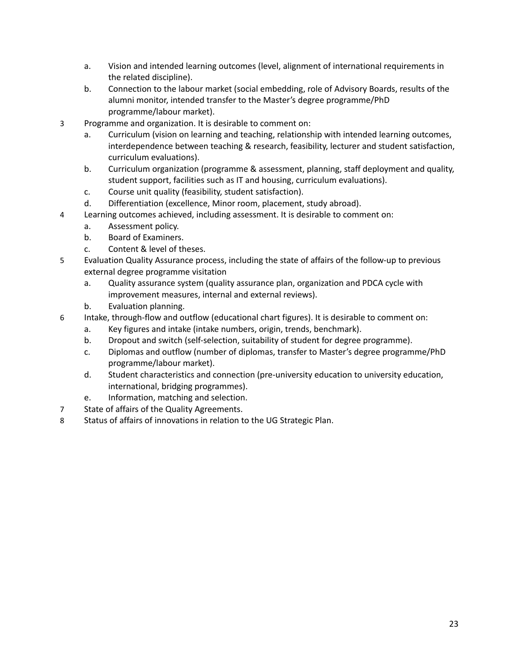- a. Vision and intended learning outcomes (level, alignment of international requirements in the related discipline).
- b. Connection to the labour market (social embedding, role of Advisory Boards, results of the alumni monitor, intended transfer to the Master's degree programme/PhD programme/labour market).
- 3 Programme and organization. It is desirable to comment on:
	- a. Curriculum (vision on learning and teaching, relationship with intended learning outcomes, interdependence between teaching & research, feasibility, lecturer and student satisfaction, curriculum evaluations).
	- b. Curriculum organization (programme & assessment, planning, staff deployment and quality, student support, facilities such as IT and housing, curriculum evaluations).
	- c. Course unit quality (feasibility, student satisfaction).
	- d. Differentiation (excellence, Minor room, placement, study abroad).
- 4 Learning outcomes achieved, including assessment. It is desirable to comment on:
	- a. Assessment policy.
	- b. Board of Examiners.
	- c. Content & level of theses.
- 5 Evaluation Quality Assurance process, including the state of affairs of the follow-up to previous external degree programme visitation
	- a. Quality assurance system (quality assurance plan, organization and PDCA cycle with improvement measures, internal and external reviews).
	- b. Evaluation planning.
- 6 Intake, through-flow and outflow (educational chart figures). It is desirable to comment on:
	- a. Key figures and intake (intake numbers, origin, trends, benchmark).
	- b. Dropout and switch (self-selection, suitability of student for degree programme).
	- c. Diplomas and outflow (number of diplomas, transfer to Master's degree programme/PhD programme/labour market).
	- d. Student characteristics and connection (pre-university education to university education, international, bridging programmes).
	- e. Information, matching and selection.
- 7 State of affairs of the Quality Agreements.
- 8 Status of affairs of innovations in relation to the UG Strategic Plan.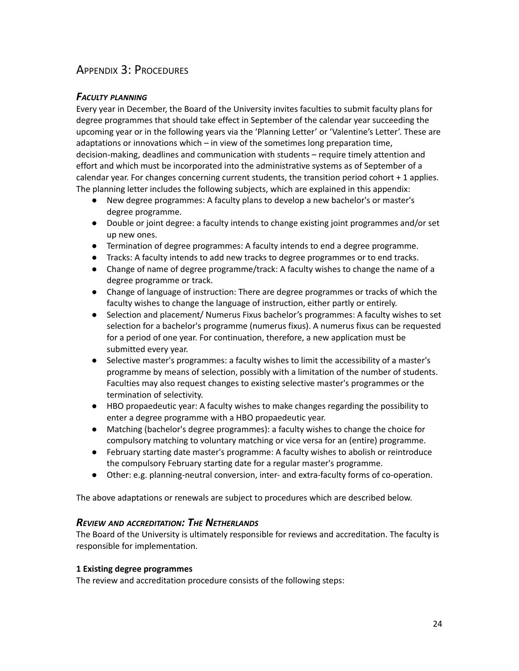# <span id="page-23-0"></span>APPENDIX 3: PROCEDURES

## <span id="page-23-1"></span>*FACULTY PLANNING*

Every year in December, the Board of the University invites faculties to submit faculty plans for degree programmes that should take effect in September of the calendar year succeeding the upcoming year or in the following years via the 'Planning Letter' or 'Valentine's Letter'. These are adaptations or innovations which – in view of the sometimes long preparation time, decision-making, deadlines and communication with students – require timely attention and effort and which must be incorporated into the administrative systems as of September of a calendar year. For changes concerning current students, the transition period cohort + 1 applies. The planning letter includes the following subjects, which are explained in this appendix:

- New degree programmes: A faculty plans to develop a new bachelor's or master's degree programme.
- Double or joint degree: a faculty intends to change existing joint programmes and/or set up new ones.
- Termination of degree programmes: A faculty intends to end a degree programme.
- Tracks: A faculty intends to add new tracks to degree programmes or to end tracks.
- Change of name of degree programme/track: A faculty wishes to change the name of a degree programme or track.
- Change of language of instruction: There are degree programmes or tracks of which the faculty wishes to change the language of instruction, either partly or entirely.
- Selection and placement/ Numerus Fixus bachelor's programmes: A faculty wishes to set selection for a bachelor's programme (numerus fixus). A numerus fixus can be requested for a period of one year. For continuation, therefore, a new application must be submitted every year.
- Selective master's programmes: a faculty wishes to limit the accessibility of a master's programme by means of selection, possibly with a limitation of the number of students. Faculties may also request changes to existing selective master's programmes or the termination of selectivity.
- HBO propaedeutic year: A faculty wishes to make changes regarding the possibility to enter a degree programme with a HBO propaedeutic year.
- Matching (bachelor's degree programmes): a faculty wishes to change the choice for compulsory matching to voluntary matching or vice versa for an (entire) programme.
- February starting date master's programme: A faculty wishes to abolish or reintroduce the compulsory February starting date for a regular master's programme.
- Other: e.g. planning-neutral conversion, inter- and extra-faculty forms of co-operation.

The above adaptations or renewals are subject to procedures which are described below.

#### <span id="page-23-2"></span>*REVIEW AND ACCREDITATION: THE NETHERLANDS*

The Board of the University is ultimately responsible for reviews and accreditation. The faculty is responsible for implementation.

#### **1 Existing degree programmes**

The review and accreditation procedure consists of the following steps: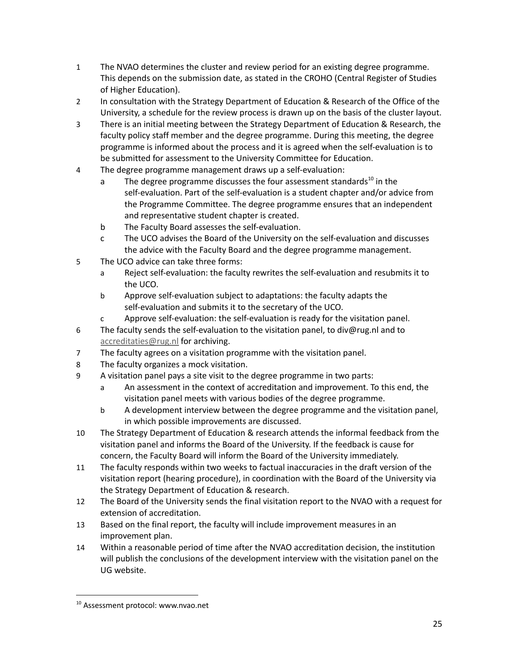- 1 The NVAO determines the cluster and review period for an existing degree programme. This depends on the submission date, as stated in the CROHO (Central Register of Studies of Higher Education).
- 2 In consultation with the Strategy Department of Education & Research of the Office of the University, a schedule for the review process is drawn up on the basis of the cluster layout.
- 3 There is an initial meeting between the Strategy Department of Education & Research, the faculty policy staff member and the degree programme. During this meeting, the degree programme is informed about the process and it is agreed when the self-evaluation is to be submitted for assessment to the University Committee for Education.
- 4 The degree programme management draws up a self-evaluation:
	- a The degree programme discusses the four assessment standards<sup>10</sup> in the self-evaluation. Part of the self-evaluation is a student chapter and/or advice from the Programme Committee. The degree programme ensures that an independent and representative student chapter is created.
	- b The Faculty Board assesses the self-evaluation.
	- c The UCO advises the Board of the University on the self-evaluation and discusses the advice with the Faculty Board and the degree programme management.
- 5 The UCO advice can take three forms:
	- a Reject self-evaluation: the faculty rewrites the self-evaluation and resubmits it to the UCO.
	- b Approve self-evaluation subject to adaptations: the faculty adapts the self-evaluation and submits it to the secretary of the UCO.
	- c Approve self-evaluation: the self-evaluation is ready for the visitation panel.
- 6 The faculty sends the self-evaluation to the visitation panel, to div@rug.nl and to [accreditaties@rug.nl](mailto:accreditaties@rug.nl) for archiving.
- 7 The faculty agrees on a visitation programme with the visitation panel.
- 8 The faculty organizes a mock visitation.
- 9 A visitation panel pays a site visit to the degree programme in two parts:
	- a An assessment in the context of accreditation and improvement. To this end, the visitation panel meets with various bodies of the degree programme.
	- b A development interview between the degree programme and the visitation panel, in which possible improvements are discussed.
- 10 The Strategy Department of Education & research attends the informal feedback from the visitation panel and informs the Board of the University. If the feedback is cause for concern, the Faculty Board will inform the Board of the University immediately.
- 11 The faculty responds within two weeks to factual inaccuracies in the draft version of the visitation report (hearing procedure), in coordination with the Board of the University via the Strategy Department of Education & research.
- 12 The Board of the University sends the final visitation report to the NVAO with a request for extension of accreditation.
- 13 Based on the final report, the faculty will include improvement measures in an improvement plan.
- 14 Within a reasonable period of time after the NVAO accreditation decision, the institution will publish the conclusions of the development interview with the visitation panel on the UG website.

<sup>&</sup>lt;sup>10</sup> Assessment protocol: www.nvao.net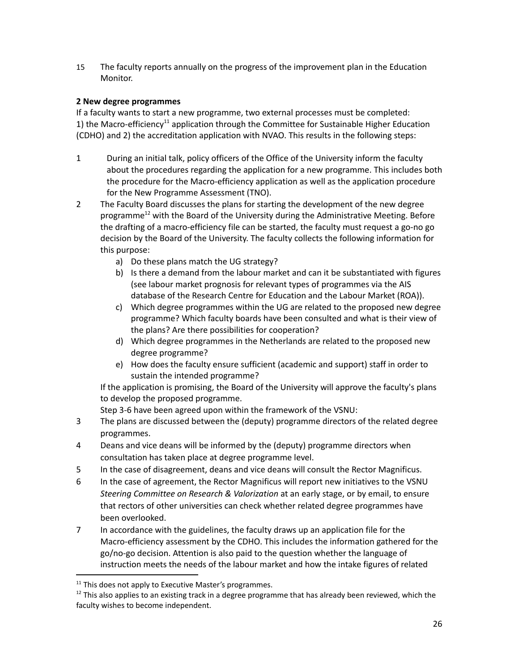15 The faculty reports annually on the progress of the improvement plan in the Education Monitor.

#### **2 New degree programmes**

If a faculty wants to start a new programme, two external processes must be completed: 1) the Macro-efficiency<sup>11</sup> application through the Committee for Sustainable Higher Education (CDHO) and 2) the accreditation application with NVAO. This results in the following steps:

- 1 During an initial talk, policy officers of the Office of the University inform the faculty about the procedures regarding the application for a new programme. This includes both the procedure for the Macro-efficiency application as well as the application procedure for the New Programme Assessment (TNO).
- 2 The Faculty Board discusses the plans for starting the development of the new degree programme<sup>12</sup> with the Board of the University during the Administrative Meeting. Before the drafting of a macro-efficiency file can be started, the faculty must request a go-no go decision by the Board of the University. The faculty collects the following information for this purpose:
	- a) Do these plans match the UG strategy?
	- b) Is there a demand from the labour market and can it be substantiated with figures (see labour market prognosis for relevant types of programmes via the AIS database of the Research Centre for Education and the Labour Market (ROA)).
	- c) Which degree programmes within the UG are related to the proposed new degree programme? Which faculty boards have been consulted and what is their view of the plans? Are there possibilities for cooperation?
	- d) Which degree programmes in the Netherlands are related to the proposed new degree programme?
	- e) How does the faculty ensure sufficient (academic and support) staff in order to sustain the intended programme?

If the application is promising, the Board of the University will approve the faculty's plans to develop the proposed programme.

Step 3-6 have been agreed upon within the framework of the VSNU:

- 3 The plans are discussed between the (deputy) programme directors of the related degree programmes.
- 4 Deans and vice deans will be informed by the (deputy) programme directors when consultation has taken place at degree programme level.
- 5 In the case of disagreement, deans and vice deans will consult the Rector Magnificus.
- 6 In the case of agreement, the Rector Magnificus will report new initiatives to the VSNU *Steering Committee on Research & Valorization* at an early stage, or by email, to ensure that rectors of other universities can check whether related degree programmes have been overlooked.
- 7 In accordance with the guidelines, the faculty draws up an application file for the Macro-efficiency assessment by the CDHO. This includes the information gathered for the go/no-go decision. Attention is also paid to the question whether the language of instruction meets the needs of the labour market and how the intake figures of related

 $11$  This does not apply to Executive Master's programmes.

 $12$  This also applies to an existing track in a degree programme that has already been reviewed, which the faculty wishes to become independent.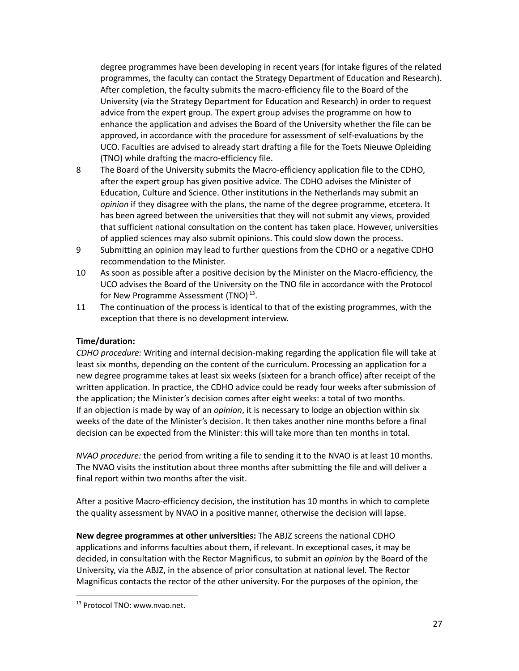degree programmes have been developing in recent years (for intake figures of the related programmes, the faculty can contact the Strategy Department of Education and Research). After completion, the faculty submits the macro-efficiency file to the Board of the University (via the Strategy Department for Education and Research) in order to request advice from the expert group. The expert group advises the programme on how to enhance the application and advises the Board of the University whether the file can be approved, in accordance with the procedure for assessment of self-evaluations by the UCO. Faculties are advised to already start drafting a file for the Toets Nieuwe Opleiding (TNO) while drafting the macro-efficiency file.

- 8 The Board of the University submits the Macro-efficiency application file to the CDHO, after the expert group has given positive advice. The CDHO advises the Minister of Education, Culture and Science. Other institutions in the Netherlands may submit an *opinion* if they disagree with the plans, the name of the degree programme, etcetera. It has been agreed between the universities that they will not submit any views, provided that sufficient national consultation on the content has taken place. However, universities of applied sciences may also submit opinions. This could slow down the process.
- 9 Submitting an opinion may lead to further questions from the CDHO or a negative CDHO recommendation to the Minister.
- 10 As soon as possible after a positive decision by the Minister on the Macro-efficiency, the UCO advises the Board of the University on the TNO file in accordance with the Protocol for New Programme Assessment (TNO) $^{13}$ .
- 11 The continuation of the process is identical to that of the existing programmes, with the exception that there is no development interview.

#### **Time/duration:**

*CDHO procedure:* Writing and internal decision-making regarding the application file will take at least six months, depending on the content of the curriculum. Processing an application for a new degree programme takes at least six weeks (sixteen for a branch office) after receipt of the written application. In practice, the CDHO advice could be ready four weeks after submission of the application; the Minister's decision comes after eight weeks: a total of two months. If an objection is made by way of an *opinion*, it is necessary to lodge an objection within six weeks of the date of the Minister's decision. It then takes another nine months before a final decision can be expected from the Minister: this will take more than ten months in total.

*NVAO procedure:* the period from writing a file to sending it to the NVAO is at least 10 months. The NVAO visits the institution about three months after submitting the file and will deliver a final report within two months after the visit.

After a positive Macro-efficiency decision, the institution has 10 months in which to complete the quality assessment by NVAO in a positive manner, otherwise the decision will lapse.

**New degree programmes at other universities:** The ABJZ screens the national CDHO applications and informs faculties about them, if relevant. In exceptional cases, it may be decided, in consultation with the Rector Magnificus, to submit an *opinion* by the Board of the University, via the ABJZ, in the absence of prior consultation at national level. The Rector Magnificus contacts the rector of the other university. For the purposes of the opinion, the

<sup>&</sup>lt;sup>13</sup> Protocol TNO: www.nvao.net.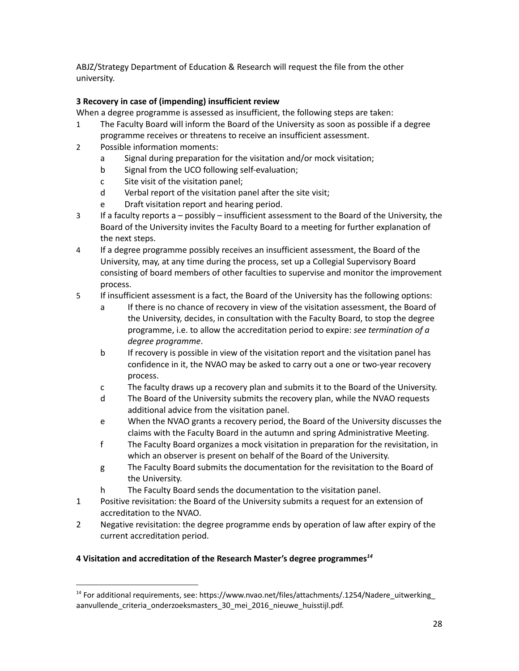ABJZ/Strategy Department of Education & Research will request the file from the other university.

### **3 Recovery in case of (impending) insufficient review**

When a degree programme is assessed as insufficient, the following steps are taken:

- 1 The Faculty Board will inform the Board of the University as soon as possible if a degree programme receives or threatens to receive an insufficient assessment.
- 2 Possible information moments:
	- a Signal during preparation for the visitation and/or mock visitation;
	- b Signal from the UCO following self-evaluation;
	- c Site visit of the visitation panel;
	- d Verbal report of the visitation panel after the site visit;
	- e Draft visitation report and hearing period.
- 3 If a faculty reports a possibly insufficient assessment to the Board of the University, the Board of the University invites the Faculty Board to a meeting for further explanation of the next steps.
- 4 If a degree programme possibly receives an insufficient assessment, the Board of the University, may, at any time during the process, set up a Collegial Supervisory Board consisting of board members of other faculties to supervise and monitor the improvement process.
- 5 If insufficient assessment is a fact, the Board of the University has the following options:
	- a If there is no chance of recovery in view of the visitation assessment, the Board of the University, decides, in consultation with the Faculty Board, to stop the degree programme, i.e. to allow the accreditation period to expire: *see termination of a degree programme*.
	- b If recovery is possible in view of the visitation report and the visitation panel has confidence in it, the NVAO may be asked to carry out a one or two-year recovery process.
	- c The faculty draws up a recovery plan and submits it to the Board of the University.
	- d The Board of the University submits the recovery plan, while the NVAO requests additional advice from the visitation panel.
	- e When the NVAO grants a recovery period, the Board of the University discusses the claims with the Faculty Board in the autumn and spring Administrative Meeting.
	- f The Faculty Board organizes a mock visitation in preparation for the revisitation, in which an observer is present on behalf of the Board of the University.
	- g The Faculty Board submits the documentation for the revisitation to the Board of the University.
	- h The Faculty Board sends the documentation to the visitation panel.
- 1 Positive revisitation: the Board of the University submits a request for an extension of accreditation to the NVAO.
- 2 Negative revisitation: the degree programme ends by operation of law after expiry of the current accreditation period.

#### **4 Visitation and accreditation of the Research Master's degree programmes** *14*

<sup>&</sup>lt;sup>14</sup> For additional requirements, see: https://www.nvao.net/files/attachments/.1254/Nadere\_uitwerking\_ aanvullende\_criteria\_onderzoeksmasters\_30\_mei\_2016\_nieuwe\_huisstijl.pdf.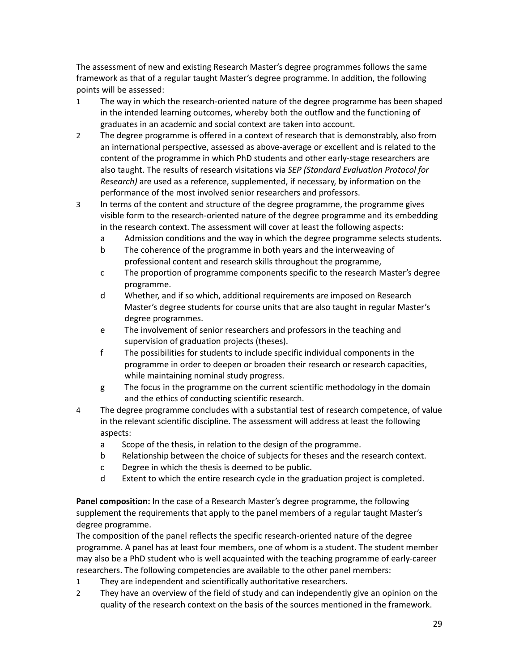The assessment of new and existing Research Master's degree programmes follows the same framework as that of a regular taught Master's degree programme. In addition, the following points will be assessed:

- 1 The way in which the research-oriented nature of the degree programme has been shaped in the intended learning outcomes, whereby both the outflow and the functioning of graduates in an academic and social context are taken into account.
- 2 The degree programme is offered in a context of research that is demonstrably, also from an international perspective, assessed as above-average or excellent and is related to the content of the programme in which PhD students and other early-stage researchers are also taught. The results of research visitations via *SEP (Standard Evaluation Protocol for Research)* are used as a reference, supplemented, if necessary, by information on the performance of the most involved senior researchers and professors.
- 3 In terms of the content and structure of the degree programme, the programme gives visible form to the research-oriented nature of the degree programme and its embedding in the research context. The assessment will cover at least the following aspects:
	- a Admission conditions and the way in which the degree programme selects students.
	- b The coherence of the programme in both years and the interweaving of professional content and research skills throughout the programme,
	- c The proportion of programme components specific to the research Master's degree programme.
	- d Whether, and if so which, additional requirements are imposed on Research Master's degree students for course units that are also taught in regular Master's degree programmes.
	- e The involvement of senior researchers and professors in the teaching and supervision of graduation projects (theses).
	- f The possibilities for students to include specific individual components in the programme in order to deepen or broaden their research or research capacities, while maintaining nominal study progress.
	- g The focus in the programme on the current scientific methodology in the domain and the ethics of conducting scientific research.
- 4 The degree programme concludes with a substantial test of research competence, of value in the relevant scientific discipline. The assessment will address at least the following aspects:
	- a Scope of the thesis, in relation to the design of the programme.
	- b Relationship between the choice of subjects for theses and the research context.
	- c Degree in which the thesis is deemed to be public.
	- d Extent to which the entire research cycle in the graduation project is completed.

**Panel composition:** In the case of a Research Master's degree programme, the following supplement the requirements that apply to the panel members of a regular taught Master's degree programme.

The composition of the panel reflects the specific research-oriented nature of the degree programme. A panel has at least four members, one of whom is a student. The student member may also be a PhD student who is well acquainted with the teaching programme of early-career researchers. The following competencies are available to the other panel members:

- 1 They are independent and scientifically authoritative researchers.
- 2 They have an overview of the field of study and can independently give an opinion on the quality of the research context on the basis of the sources mentioned in the framework.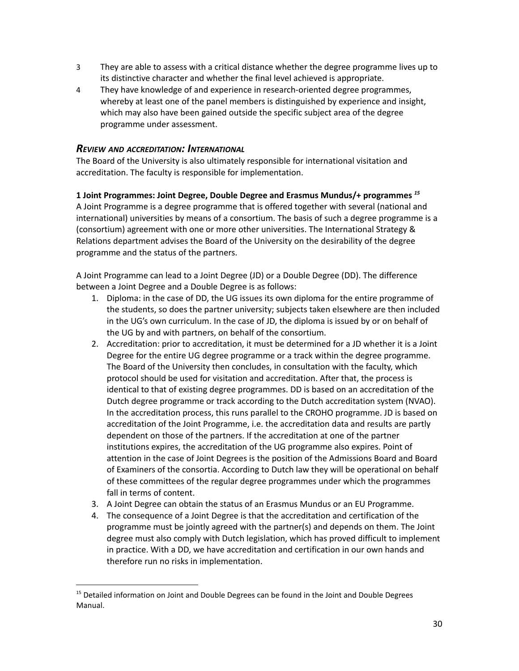- 3 They are able to assess with a critical distance whether the degree programme lives up to its distinctive character and whether the final level achieved is appropriate.
- 4 They have knowledge of and experience in research-oriented degree programmes, whereby at least one of the panel members is distinguished by experience and insight, which may also have been gained outside the specific subject area of the degree programme under assessment.

#### <span id="page-29-0"></span>*REVIEW AND ACCREDITATION: INTERNATIONAL*

programme and the status of the partners.

The Board of the University is also ultimately responsible for international visitation and accreditation. The faculty is responsible for implementation.

### **1 Joint Programmes: Joint Degree, Double Degree and Erasmus Mundus/+ programmes** *15* A Joint Programme is a degree programme that is offered together with several (national and international) universities by means of a consortium. The basis of such a degree programme is a (consortium) agreement with one or more other universities. The International Strategy & Relations department advises the Board of the University on the desirability of the degree

A Joint Programme can lead to a Joint Degree (JD) or a Double Degree (DD). The difference between a Joint Degree and a Double Degree is as follows:

- 1. Diploma: in the case of DD, the UG issues its own diploma for the entire programme of the students, so does the partner university; subjects taken elsewhere are then included in the UG's own curriculum. In the case of JD, the diploma is issued by or on behalf of the UG by and with partners, on behalf of the consortium.
- 2. Accreditation: prior to accreditation, it must be determined for a JD whether it is a Joint Degree for the entire UG degree programme or a track within the degree programme. The Board of the University then concludes, in consultation with the faculty, which protocol should be used for visitation and accreditation. After that, the process is identical to that of existing degree programmes. DD is based on an accreditation of the Dutch degree programme or track according to the Dutch accreditation system (NVAO). In the accreditation process, this runs parallel to the CROHO programme. JD is based on accreditation of the Joint Programme, i.e. the accreditation data and results are partly dependent on those of the partners. If the accreditation at one of the partner institutions expires, the accreditation of the UG programme also expires. Point of attention in the case of Joint Degrees is the position of the Admissions Board and Board of Examiners of the consortia. According to Dutch law they will be operational on behalf of these committees of the regular degree programmes under which the programmes fall in terms of content.
- 3. A Joint Degree can obtain the status of an Erasmus Mundus or an EU Programme.
- 4. The consequence of a Joint Degree is that the accreditation and certification of the programme must be jointly agreed with the partner(s) and depends on them. The Joint degree must also comply with Dutch legislation, which has proved difficult to implement in practice. With a DD, we have accreditation and certification in our own hands and therefore run no risks in implementation.

<sup>&</sup>lt;sup>15</sup> Detailed information on Joint and Double Degrees can be found in the Joint and Double Degrees Manual.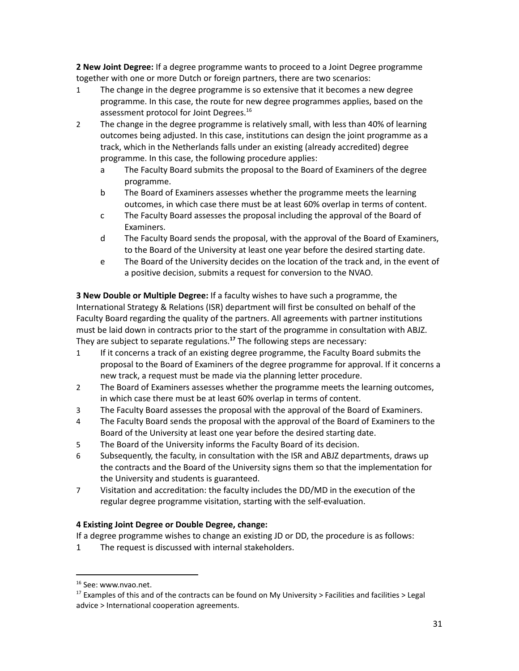**2 New Joint Degree:** If a degree programme wants to proceed to a Joint Degree programme together with one or more Dutch or foreign partners, there are two scenarios:

- 1 The change in the degree programme is so extensive that it becomes a new degree programme. In this case, the route for new degree programmes applies, based on the assessment protocol for Joint Degrees. 16
- 2 The change in the degree programme is relatively small, with less than 40% of learning outcomes being adjusted. In this case, institutions can design the joint programme as a track, which in the Netherlands falls under an existing (already accredited) degree programme. In this case, the following procedure applies:
	- a The Faculty Board submits the proposal to the Board of Examiners of the degree programme.
	- b The Board of Examiners assesses whether the programme meets the learning outcomes, in which case there must be at least 60% overlap in terms of content.
	- c The Faculty Board assesses the proposal including the approval of the Board of Examiners.
	- d The Faculty Board sends the proposal, with the approval of the Board of Examiners, to the Board of the University at least one year before the desired starting date.
	- e The Board of the University decides on the location of the track and, in the event of a positive decision, submits a request for conversion to the NVAO.

**3 New Double or Multiple Degree:** If a faculty wishes to have such a programme, the International Strategy & Relations (ISR) department will first be consulted on behalf of the Faculty Board regarding the quality of the partners. All agreements with partner institutions must be laid down in contracts prior to the start of the programme in consultation with ABJZ. They are subject to separate regulations.<sup>17</sup> The following steps are necessary:

- 1 If it concerns a track of an existing degree programme, the Faculty Board submits the proposal to the Board of Examiners of the degree programme for approval. If it concerns a new track, a request must be made via the planning letter procedure.
- 2 The Board of Examiners assesses whether the programme meets the learning outcomes, in which case there must be at least 60% overlap in terms of content.
- 3 The Faculty Board assesses the proposal with the approval of the Board of Examiners.
- 4 The Faculty Board sends the proposal with the approval of the Board of Examiners to the Board of the University at least one year before the desired starting date.
- 5 The Board of the University informs the Faculty Board of its decision.
- 6 Subsequently, the faculty, in consultation with the ISR and ABJZ departments, draws up the contracts and the Board of the University signs them so that the implementation for the University and students is guaranteed.
- 7 Visitation and accreditation: the faculty includes the DD/MD in the execution of the regular degree programme visitation, starting with the self-evaluation.

## **4 Existing Joint Degree or Double Degree, change:**

If a degree programme wishes to change an existing JD or DD, the procedure is as follows:

1 The request is discussed with internal stakeholders.

<sup>&</sup>lt;sup>16</sup> See: www.nvao.net.

<sup>&</sup>lt;sup>17</sup> Examples of this and of the contracts can be found on My University > Facilities and facilities > Legal advice > International cooperation agreements.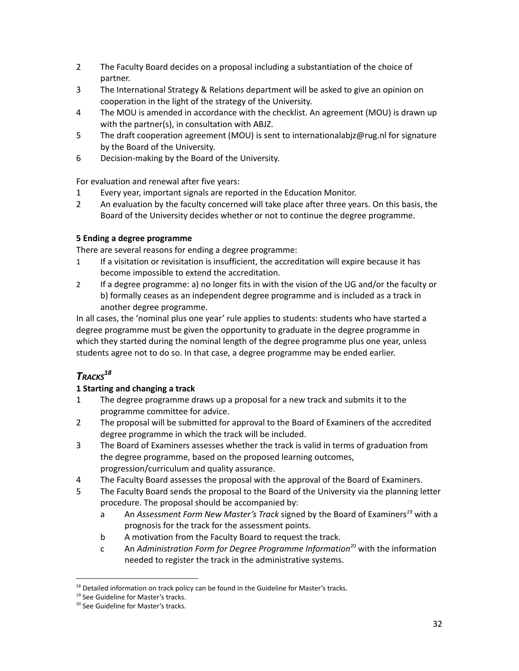- 2 The Faculty Board decides on a proposal including a substantiation of the choice of partner.
- 3 The International Strategy & Relations department will be asked to give an opinion on cooperation in the light of the strategy of the University.
- 4 The MOU is amended in accordance with the checklist. An agreement (MOU) is drawn up with the partner(s), in consultation with ABJZ.
- 5 The draft cooperation agreement (MOU) is sent to internationalabjz@rug.nl for signature by the Board of the University.
- 6 Decision-making by the Board of the University.

For evaluation and renewal after five years:

- 1 Every year, important signals are reported in the Education Monitor.
- 2 An evaluation by the faculty concerned will take place after three years. On this basis, the Board of the University decides whether or not to continue the degree programme.

#### **5 Ending a degree programme**

There are several reasons for ending a degree programme:

- 1 If a visitation or revisitation is insufficient, the accreditation will expire because it has become impossible to extend the accreditation.
- 2 If a degree programme: a) no longer fits in with the vision of the UG and/or the faculty or b) formally ceases as an independent degree programme and is included as a track in another degree programme.

In all cases, the 'nominal plus one year' rule applies to students: students who have started a degree programme must be given the opportunity to graduate in the degree programme in which they started during the nominal length of the degree programme plus one year, unless students agree not to do so. In that case, a degree programme may be ended earlier.

# <span id="page-31-0"></span>*TRACKS 18*

#### **1 Starting and changing a track**

- 1 The degree programme draws up a proposal for a new track and submits it to the programme committee for advice.
- 2 The proposal will be submitted for approval to the Board of Examiners of the accredited degree programme in which the track will be included.
- 3 The Board of Examiners assesses whether the track is valid in terms of graduation from the degree programme, based on the proposed learning outcomes, progression/curriculum and quality assurance.
- 4 The Faculty Board assesses the proposal with the approval of the Board of Examiners.
- 5 The Faculty Board sends the proposal to the Board of the University via the planning letter procedure. The proposal should be accompanied by:
	- a An *Assessment Form New Master's Track* signed by the Board of Examiners<sup>19</sup> with a prognosis for the track for the assessment points.
	- b A motivation from the Faculty Board to request the track.
	- c An *Administration Form for Degree Programme Information* with the information 20 needed to register the track in the administrative systems.

<sup>&</sup>lt;sup>18</sup> Detailed information on track policy can be found in the Guideline for Master's tracks.

<sup>&</sup>lt;sup>19</sup> See Guideline for Master's tracks.

<sup>&</sup>lt;sup>20</sup> See Guideline for Master's tracks.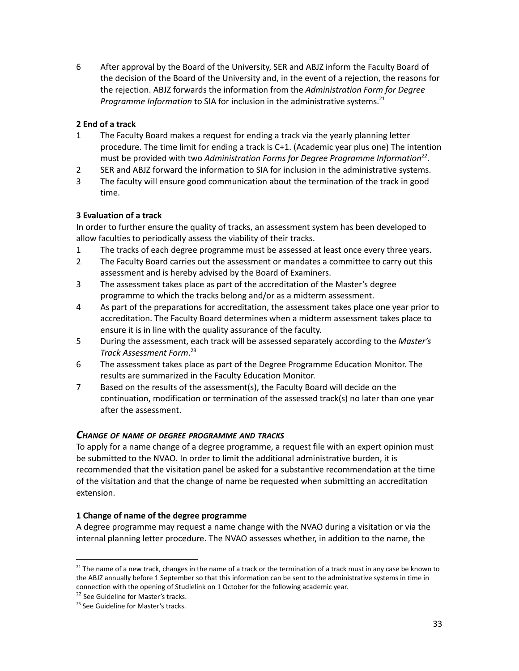6 After approval by the Board of the University, SER and ABJZ inform the Faculty Board of the decision of the Board of the University and, in the event of a rejection, the reasons for the rejection. ABJZ forwards the information from the *Administration Form for Degree Programme Information* to SIA for inclusion in the administrative systems. 21

#### **2 End of a track**

- 1 The Faculty Board makes a request for ending a track via the yearly planning letter procedure. The time limit for ending a track is C+1. (Academic year plus one) The intention must be provided with two Administration Forms for Degree Programme Information<sup>22</sup>.
- 2 SER and ABJZ forward the information to SIA for inclusion in the administrative systems.
- 3 The faculty will ensure good communication about the termination of the track in good time.

#### **3 Evaluation of a track**

In order to further ensure the quality of tracks, an assessment system has been developed to allow faculties to periodically assess the viability of their tracks.

- 1 The tracks of each degree programme must be assessed at least once every three years.
- 2 The Faculty Board carries out the assessment or mandates a committee to carry out this assessment and is hereby advised by the Board of Examiners.
- 3 The assessment takes place as part of the accreditation of the Master's degree programme to which the tracks belong and/or as a midterm assessment.
- 4 As part of the preparations for accreditation, the assessment takes place one year prior to accreditation. The Faculty Board determines when a midterm assessment takes place to ensure it is in line with the quality assurance of the faculty.
- 5 During the assessment, each track will be assessed separately according to the *Master's Track Assessment Form*. 23
- 6 The assessment takes place as part of the Degree Programme Education Monitor. The results are summarized in the Faculty Education Monitor.
- 7 Based on the results of the assessment(s), the Faculty Board will decide on the continuation, modification or termination of the assessed track(s) no later than one year after the assessment.

#### <span id="page-32-0"></span>*CHANGE OF NAME OF DEGREE PROGRAMME AND TRACKS*

To apply for a name change of a degree programme, a request file with an expert opinion must be submitted to the NVAO. In order to limit the additional administrative burden, it is recommended that the visitation panel be asked for a substantive recommendation at the time of the visitation and that the change of name be requested when submitting an accreditation extension.

#### **1 Change of name of the degree programme**

A degree programme may request a name change with the NVAO during a visitation or via the internal planning letter procedure. The NVAO assesses whether, in addition to the name, the

 $21$  The name of a new track, changes in the name of a track or the termination of a track must in any case be known to the ABJZ annually before 1 September so that this information can be sent to the administrative systems in time in connection with the opening of Studielink on 1 October for the following academic year.

<sup>&</sup>lt;sup>22</sup> See Guideline for Master's tracks.

<sup>&</sup>lt;sup>23</sup> See Guideline for Master's tracks.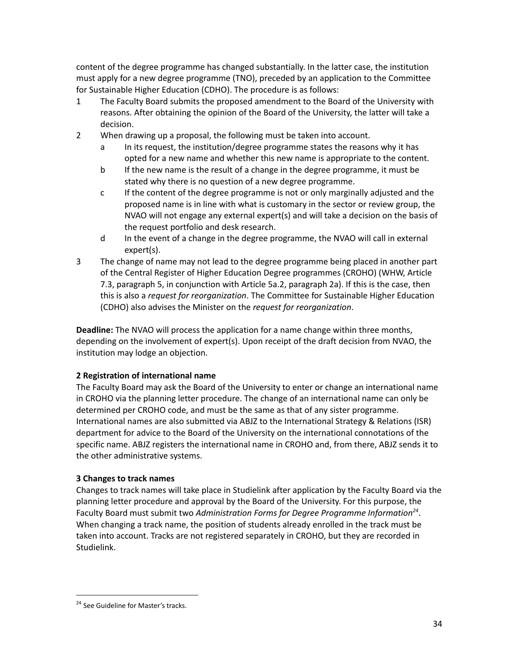content of the degree programme has changed substantially. In the latter case, the institution must apply for a new degree programme (TNO), preceded by an application to the Committee for Sustainable Higher Education (CDHO). The procedure is as follows:

- 1 The Faculty Board submits the proposed amendment to the Board of the University with reasons. After obtaining the opinion of the Board of the University, the latter will take a decision.
- 2 When drawing up a proposal, the following must be taken into account.
	- a In its request, the institution/degree programme states the reasons why it has opted for a new name and whether this new name is appropriate to the content.
	- b If the new name is the result of a change in the degree programme, it must be stated why there is no question of a new degree programme.
	- c If the content of the degree programme is not or only marginally adjusted and the proposed name is in line with what is customary in the sector or review group, the NVAO will not engage any external expert(s) and will take a decision on the basis of the request portfolio and desk research.
	- d In the event of a change in the degree programme, the NVAO will call in external expert(s).
- 3 The change of name may not lead to the degree programme being placed in another part of the Central Register of Higher Education Degree programmes (CROHO) (WHW, Article 7.3, paragraph 5, in conjunction with Article 5a.2, paragraph 2a). If this is the case, then this is also a *request for reorganization*. The Committee for Sustainable Higher Education (CDHO) also advises the Minister on the *request for reorganization*.

**Deadline:** The NVAO will process the application for a name change within three months, depending on the involvement of expert(s). Upon receipt of the draft decision from NVAO, the institution may lodge an objection.

#### **2 Registration of international name**

The Faculty Board may ask the Board of the University to enter or change an international name in CROHO via the planning letter procedure. The change of an international name can only be determined per CROHO code, and must be the same as that of any sister programme. International names are also submitted via ABJZ to the International Strategy & Relations (ISR) department for advice to the Board of the University on the international connotations of the specific name. ABJZ registers the international name in CROHO and, from there, ABJZ sends it to the other administrative systems.

#### **3 Changes to track names**

Changes to track names will take place in Studielink after application by the Faculty Board via the planning letter procedure and approval by the Board of the University. For this purpose, the Faculty Board must submit two Administration Forms for Degree Programme Information<sup>24</sup>. When changing a track name, the position of students already enrolled in the track must be taken into account. Tracks are not registered separately in CROHO, but they are recorded in Studielink.

<sup>&</sup>lt;sup>24</sup> See Guideline for Master's tracks.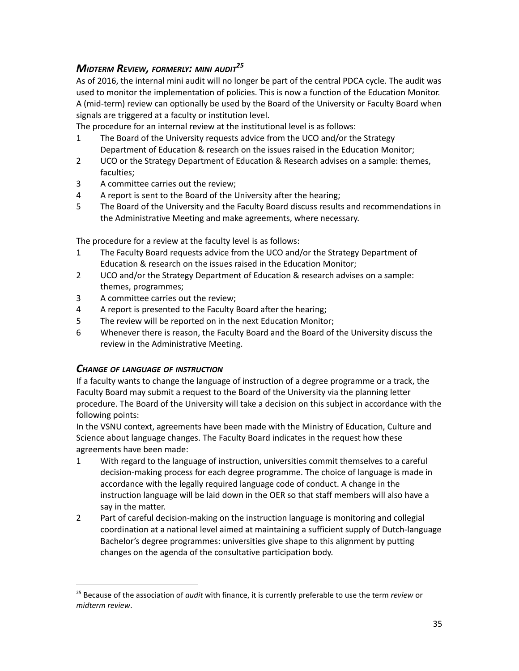# <span id="page-34-0"></span>*MIDTERM REVIEW, FORMERLY: MINI AUDIT 25*

As of 2016, the internal mini audit will no longer be part of the central PDCA cycle. The audit was used to monitor the implementation of policies. This is now a function of the Education Monitor. A (mid-term) review can optionally be used by the Board of the University or Faculty Board when signals are triggered at a faculty or institution level.

The procedure for an internal review at the institutional level is as follows:

- 1 The Board of the University requests advice from the UCO and/or the Strategy Department of Education & research on the issues raised in the Education Monitor;
- 2 UCO or the Strategy Department of Education & Research advises on a sample: themes, faculties;
- 3 A committee carries out the review;
- 4 A report is sent to the Board of the University after the hearing;
- 5 The Board of the University and the Faculty Board discuss results and recommendations in the Administrative Meeting and make agreements, where necessary.

The procedure for a review at the faculty level is as follows:

- 1 The Faculty Board requests advice from the UCO and/or the Strategy Department of Education & research on the issues raised in the Education Monitor;
- 2 UCO and/or the Strategy Department of Education & research advises on a sample: themes, programmes;
- 3 A committee carries out the review;
- 4 A report is presented to the Faculty Board after the hearing;
- 5 The review will be reported on in the next Education Monitor;
- 6 Whenever there is reason, the Faculty Board and the Board of the University discuss the review in the Administrative Meeting.

#### <span id="page-34-1"></span>*CHANGE OF LANGUAGE OF INSTRUCTION*

If a faculty wants to change the language of instruction of a degree programme or a track, the Faculty Board may submit a request to the Board of the University via the planning letter procedure. The Board of the University will take a decision on this subject in accordance with the following points:

In the VSNU context, agreements have been made with the Ministry of Education, Culture and Science about language changes. The Faculty Board indicates in the request how these agreements have been made:

- 1 With regard to the language of instruction, universities commit themselves to a careful decision-making process for each degree programme. The choice of language is made in accordance with the legally required language code of conduct. A change in the instruction language will be laid down in the OER so that staff members will also have a say in the matter.
- 2 Part of careful decision-making on the instruction language is monitoring and collegial coordination at a national level aimed at maintaining a sufficient supply of Dutch-language Bachelor's degree programmes: universities give shape to this alignment by putting changes on the agenda of the consultative participation body.

<sup>25</sup> Because of the association of *audit* with finance, it is currently preferable to use the term *review* or *midterm review*.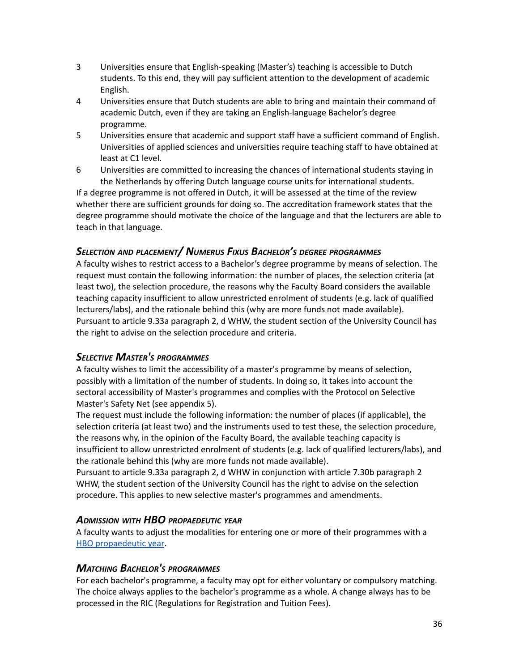- 3 Universities ensure that English-speaking (Master's) teaching is accessible to Dutch students. To this end, they will pay sufficient attention to the development of academic English.
- 4 Universities ensure that Dutch students are able to bring and maintain their command of academic Dutch, even if they are taking an English-language Bachelor's degree programme.
- 5 Universities ensure that academic and support staff have a sufficient command of English. Universities of applied sciences and universities require teaching staff to have obtained at least at C1 level.
- 6 Universities are committed to increasing the chances of international students staying in the Netherlands by offering Dutch language course units for international students.

If a degree programme is not offered in Dutch, it will be assessed at the time of the review whether there are sufficient grounds for doing so. The accreditation framework states that the degree programme should motivate the choice of the language and that the lecturers are able to teach in that language.

### <span id="page-35-0"></span>*SELECTION AND PLACEMENT/ NUMERUS FIXUS BACHELOR'S DEGREE PROGRAMMES*

A faculty wishes to restrict access to a Bachelor's degree programme by means of selection. The request must contain the following information: the number of places, the selection criteria (at least two), the selection procedure, the reasons why the Faculty Board considers the available teaching capacity insufficient to allow unrestricted enrolment of students (e.g. lack of qualified lecturers/labs), and the rationale behind this (why are more funds not made available). Pursuant to article 9.33a paragraph 2, d WHW, the student section of the University Council has the right to advise on the selection procedure and criteria.

#### <span id="page-35-1"></span>*SELECTIVE MASTER'S PROGRAMMES*

A faculty wishes to limit the accessibility of a master's programme by means of selection, possibly with a limitation of the number of students. In doing so, it takes into account the sectoral accessibility of Master's programmes and complies with the Protocol on Selective Master's Safety Net (see appendix 5).

The request must include the following information: the number of places (if applicable), the selection criteria (at least two) and the instruments used to test these, the selection procedure, the reasons why, in the opinion of the Faculty Board, the available teaching capacity is insufficient to allow unrestricted enrolment of students (e.g. lack of qualified lecturers/labs), and the rationale behind this (why are more funds not made available).

Pursuant to article 9.33a paragraph 2, d WHW in conjunction with article 7.30b paragraph 2 WHW, the student section of the University Council has the right to advise on the selection procedure. This applies to new selective master's programmes and amendments.

#### <span id="page-35-2"></span>*ADMISSION WITH HBO PROPAEDEUTIC YEAR*

A faculty wants to adjust the modalities for entering one or more of their programmes with a HBO [propaedeutic](https://www.rug.nl/education/bachelor/nederlandse-studenten/aanmelding-en-inschrijving/toelatingseisen/hbo-propedeuse#:~:text=Met%20een%20hbo%2Dpropedeuse%20heb,de%20studieadviseur%20van%20de%20opleiding.) year.

#### <span id="page-35-3"></span>*MATCHING BACHELOR'<sup>S</sup> PROGRAMMES*

For each bachelor's programme, a faculty may opt for either voluntary or compulsory matching. The choice always applies to the bachelor's programme as a whole. A change always has to be processed in the RIC (Regulations for Registration and Tuition Fees).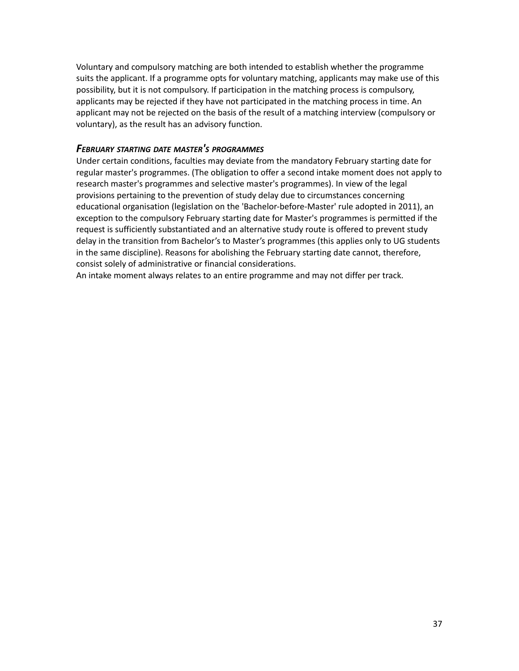Voluntary and compulsory matching are both intended to establish whether the programme suits the applicant. If a programme opts for voluntary matching, applicants may make use of this possibility, but it is not compulsory. If participation in the matching process is compulsory, applicants may be rejected if they have not participated in the matching process in time. An applicant may not be rejected on the basis of the result of a matching interview (compulsory or voluntary), as the result has an advisory function.

#### <span id="page-36-0"></span>*FEBRUARY STARTING DATE MASTER'<sup>S</sup> PROGRAMMES*

Under certain conditions, faculties may deviate from the mandatory February starting date for regular master's programmes. (The obligation to offer a second intake moment does not apply to research master's programmes and selective master's programmes). In view of the legal provisions pertaining to the prevention of study delay due to circumstances concerning educational organisation (legislation on the 'Bachelor-before-Master' rule adopted in 2011), an exception to the compulsory February starting date for Master's programmes is permitted if the request is sufficiently substantiated and an alternative study route is offered to prevent study delay in the transition from Bachelor's to Master's programmes (this applies only to UG students in the same discipline). Reasons for abolishing the February starting date cannot, therefore, consist solely of administrative or financial considerations.

An intake moment always relates to an entire programme and may not differ per track.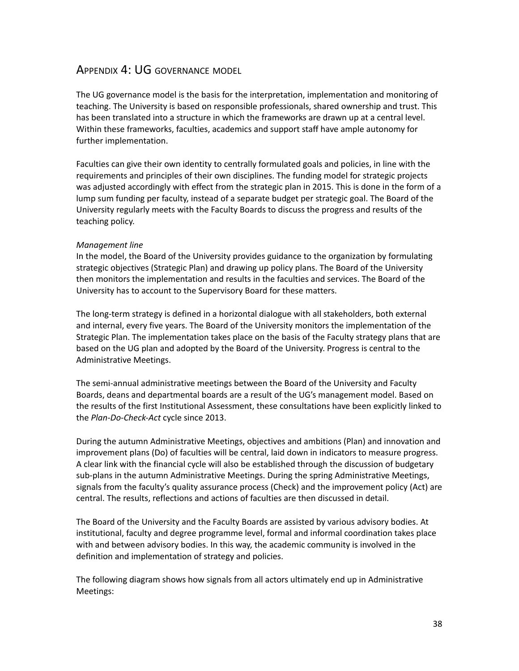# <span id="page-37-0"></span>APPENDIX 4: UG GOVERNANCE MODEL

The UG governance model is the basis for the interpretation, implementation and monitoring of teaching. The University is based on responsible professionals, shared ownership and trust. This has been translated into a structure in which the frameworks are drawn up at a central level. Within these frameworks, faculties, academics and support staff have ample autonomy for further implementation.

Faculties can give their own identity to centrally formulated goals and policies, in line with the requirements and principles of their own disciplines. The funding model for strategic projects was adjusted accordingly with effect from the strategic plan in 2015. This is done in the form of a lump sum funding per faculty, instead of a separate budget per strategic goal. The Board of the University regularly meets with the Faculty Boards to discuss the progress and results of the teaching policy.

#### *Management line*

In the model, the Board of the University provides guidance to the organization by formulating strategic objectives (Strategic Plan) and drawing up policy plans. The Board of the University then monitors the implementation and results in the faculties and services. The Board of the University has to account to the Supervisory Board for these matters.

The long-term strategy is defined in a horizontal dialogue with all stakeholders, both external and internal, every five years. The Board of the University monitors the implementation of the Strategic Plan. The implementation takes place on the basis of the Faculty strategy plans that are based on the UG plan and adopted by the Board of the University. Progress is central to the Administrative Meetings.

The semi-annual administrative meetings between the Board of the University and Faculty Boards, deans and departmental boards are a result of the UG's management model. Based on the results of the first Institutional Assessment, these consultations have been explicitly linked to the *Plan-Do-Check-Act* cycle since 2013.

During the autumn Administrative Meetings, objectives and ambitions (Plan) and innovation and improvement plans (Do) of faculties will be central, laid down in indicators to measure progress. A clear link with the financial cycle will also be established through the discussion of budgetary sub-plans in the autumn Administrative Meetings. During the spring Administrative Meetings, signals from the faculty's quality assurance process (Check) and the improvement policy (Act) are central. The results, reflections and actions of faculties are then discussed in detail.

The Board of the University and the Faculty Boards are assisted by various advisory bodies. At institutional, faculty and degree programme level, formal and informal coordination takes place with and between advisory bodies. In this way, the academic community is involved in the definition and implementation of strategy and policies.

The following diagram shows how signals from all actors ultimately end up in Administrative Meetings: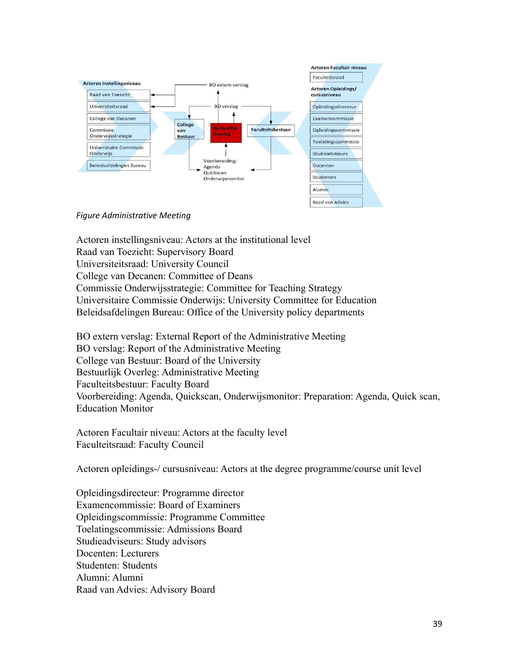

#### *Figure Administrative Meeting*

Actoren instellingsniveau: Actors at the institutional level Raad van Toezicht: Supervisory Board Universiteitsraad: University Council College van Decanen: Committee of Deans Commissie Onderwijsstrategie: Committee for Teaching Strategy Universitaire Commissie Onderwijs: University Committee for Education Beleidsafdelingen Bureau: Office of the University policy departments

BO extern verslag: External Report of the Administrative Meeting BO verslag: Report of the Administrative Meeting College van Bestuur: Board of the University Bestuurlijk Overleg: Administrative Meeting Faculteitsbestuur: Faculty Board Voorbereiding: Agenda, Quickscan, Onderwijsmonitor: Preparation: Agenda, Quick scan, Education Monitor

Actoren Facultair niveau: Actors at the faculty level Faculteitsraad: Faculty Council

Actoren opleidings-/ cursusniveau: Actors at the degree programme/course unit level

Opleidingsdirecteur: Programme director Examencommissie: Board of Examiners Opleidingscommissie: Programme Committee Toelatingscommissie: Admissions Board Studieadviseurs: Study advisors Docenten: Lecturers Studenten: Students Alumni: Alumni Raad van Advies: Advisory Board